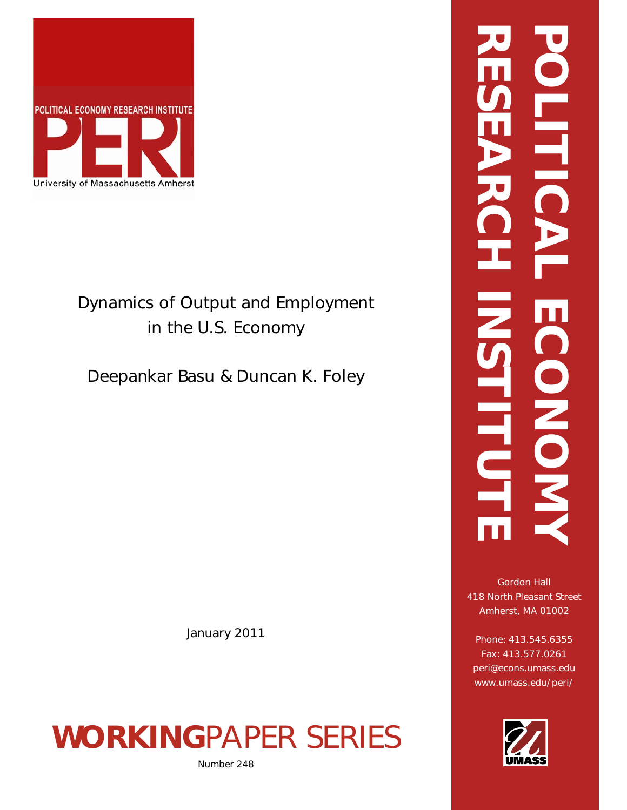

# Dynamics of Output and Employment in the U.S. Economy

Deepankar Basu & Duncan K. Foley

January 2011

# **WORKING**PAPER SERIES

Number 248

# **RESEARCH INSTITUTE POLITICAL ECONOMY NHTIC** ECONOM **HITO**

Gordon Hall 418 North Pleasant Street Amherst, MA 01002

Phone: 413.545.6355 Fax: 413.577.0261 peri@econs.umass.edu www.umass.edu/peri/

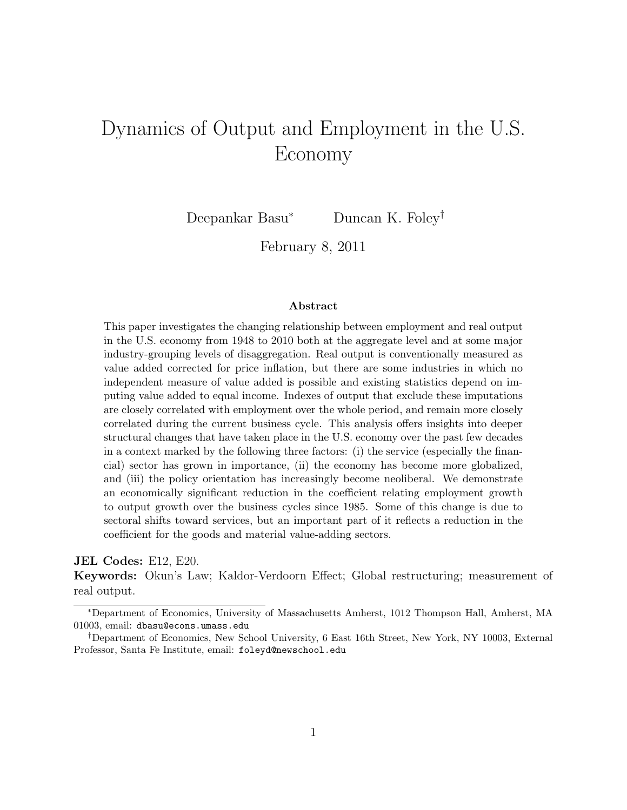# Dynamics of Output and Employment in the U.S. Economy

Deepankar Basu<sup>∗</sup> Duncan K. Foley†

February 8, 2011

#### Abstract

This paper investigates the changing relationship between employment and real output in the U.S. economy from 1948 to 2010 both at the aggregate level and at some major industry-grouping levels of disaggregation. Real output is conventionally measured as value added corrected for price inflation, but there are some industries in which no independent measure of value added is possible and existing statistics depend on imputing value added to equal income. Indexes of output that exclude these imputations are closely correlated with employment over the whole period, and remain more closely correlated during the current business cycle. This analysis offers insights into deeper structural changes that have taken place in the U.S. economy over the past few decades in a context marked by the following three factors: (i) the service (especially the financial) sector has grown in importance, (ii) the economy has become more globalized, and (iii) the policy orientation has increasingly become neoliberal. We demonstrate an economically significant reduction in the coefficient relating employment growth to output growth over the business cycles since 1985. Some of this change is due to sectoral shifts toward services, but an important part of it reflects a reduction in the coefficient for the goods and material value-adding sectors.

#### JEL Codes: E12, E20.

Keywords: Okun's Law; Kaldor-Verdoorn Effect; Global restructuring; measurement of real output.

<sup>∗</sup>Department of Economics, University of Massachusetts Amherst, 1012 Thompson Hall, Amherst, MA 01003, email: dbasu@econs.umass.edu

<sup>†</sup>Department of Economics, New School University, 6 East 16th Street, New York, NY 10003, External Professor, Santa Fe Institute, email: foleyd@newschool.edu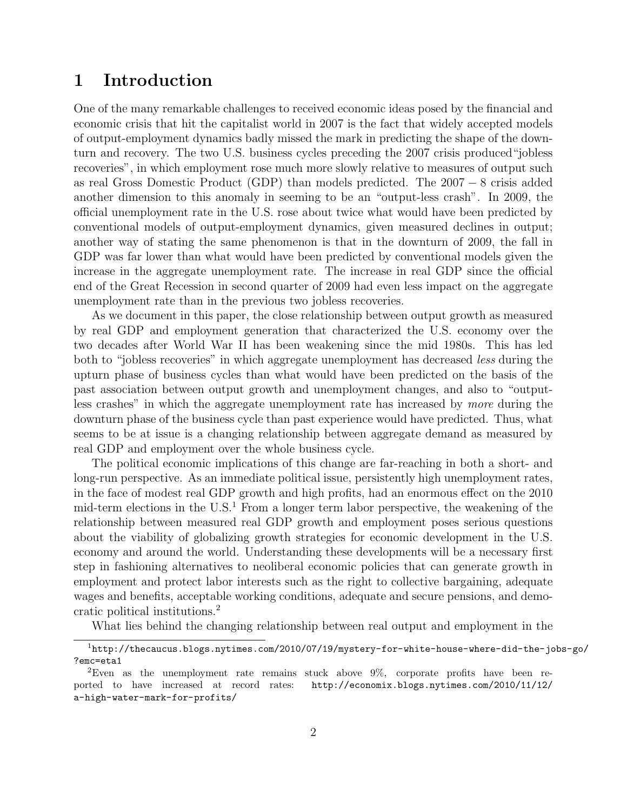# 1 Introduction

One of the many remarkable challenges to received economic ideas posed by the financial and economic crisis that hit the capitalist world in 2007 is the fact that widely accepted models of output-employment dynamics badly missed the mark in predicting the shape of the downturn and recovery. The two U.S. business cycles preceding the 2007 crisis produced"jobless recoveries", in which employment rose much more slowly relative to measures of output such as real Gross Domestic Product (GDP) than models predicted. The 2007 − 8 crisis added another dimension to this anomaly in seeming to be an "output-less crash". In 2009, the official unemployment rate in the U.S. rose about twice what would have been predicted by conventional models of output-employment dynamics, given measured declines in output; another way of stating the same phenomenon is that in the downturn of 2009, the fall in GDP was far lower than what would have been predicted by conventional models given the increase in the aggregate unemployment rate. The increase in real GDP since the official end of the Great Recession in second quarter of 2009 had even less impact on the aggregate unemployment rate than in the previous two jobless recoveries.

As we document in this paper, the close relationship between output growth as measured by real GDP and employment generation that characterized the U.S. economy over the two decades after World War II has been weakening since the mid 1980s. This has led both to "jobless recoveries" in which aggregate unemployment has decreased less during the upturn phase of business cycles than what would have been predicted on the basis of the past association between output growth and unemployment changes, and also to "outputless crashes" in which the aggregate unemployment rate has increased by more during the downturn phase of the business cycle than past experience would have predicted. Thus, what seems to be at issue is a changing relationship between aggregate demand as measured by real GDP and employment over the whole business cycle.

The political economic implications of this change are far-reaching in both a short- and long-run perspective. As an immediate political issue, persistently high unemployment rates, in the face of modest real GDP growth and high profits, had an enormous effect on the 2010 mid-term elections in the  $U.S.<sup>1</sup>$  From a longer term labor perspective, the weakening of the relationship between measured real GDP growth and employment poses serious questions about the viability of globalizing growth strategies for economic development in the U.S. economy and around the world. Understanding these developments will be a necessary first step in fashioning alternatives to neoliberal economic policies that can generate growth in employment and protect labor interests such as the right to collective bargaining, adequate wages and benefits, acceptable working conditions, adequate and secure pensions, and democratic political institutions.<sup>2</sup>

What lies behind the changing relationship between real output and employment in the

<sup>1</sup>http://thecaucus.blogs.nytimes.com/2010/07/19/mystery-for-white-house-where-did-the-jobs-go/ ?emc=eta1

<sup>2</sup>Even as the unemployment rate remains stuck above 9%, corporate profits have been reported to have increased at record rates: http://economix.blogs.nytimes.com/2010/11/12/ a-high-water-mark-for-profits/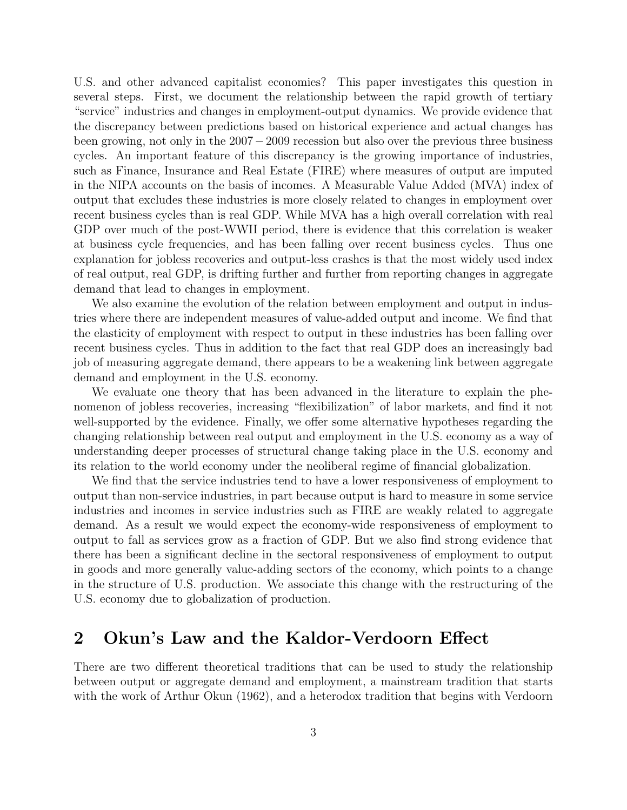U.S. and other advanced capitalist economies? This paper investigates this question in several steps. First, we document the relationship between the rapid growth of tertiary "service" industries and changes in employment-output dynamics. We provide evidence that the discrepancy between predictions based on historical experience and actual changes has been growing, not only in the 2007−2009 recession but also over the previous three business cycles. An important feature of this discrepancy is the growing importance of industries, such as Finance, Insurance and Real Estate (FIRE) where measures of output are imputed in the NIPA accounts on the basis of incomes. A Measurable Value Added (MVA) index of output that excludes these industries is more closely related to changes in employment over recent business cycles than is real GDP. While MVA has a high overall correlation with real GDP over much of the post-WWII period, there is evidence that this correlation is weaker at business cycle frequencies, and has been falling over recent business cycles. Thus one explanation for jobless recoveries and output-less crashes is that the most widely used index of real output, real GDP, is drifting further and further from reporting changes in aggregate demand that lead to changes in employment.

We also examine the evolution of the relation between employment and output in industries where there are independent measures of value-added output and income. We find that the elasticity of employment with respect to output in these industries has been falling over recent business cycles. Thus in addition to the fact that real GDP does an increasingly bad job of measuring aggregate demand, there appears to be a weakening link between aggregate demand and employment in the U.S. economy.

We evaluate one theory that has been advanced in the literature to explain the phenomenon of jobless recoveries, increasing "flexibilization" of labor markets, and find it not well-supported by the evidence. Finally, we offer some alternative hypotheses regarding the changing relationship between real output and employment in the U.S. economy as a way of understanding deeper processes of structural change taking place in the U.S. economy and its relation to the world economy under the neoliberal regime of financial globalization.

We find that the service industries tend to have a lower responsiveness of employment to output than non-service industries, in part because output is hard to measure in some service industries and incomes in service industries such as FIRE are weakly related to aggregate demand. As a result we would expect the economy-wide responsiveness of employment to output to fall as services grow as a fraction of GDP. But we also find strong evidence that there has been a significant decline in the sectoral responsiveness of employment to output in goods and more generally value-adding sectors of the economy, which points to a change in the structure of U.S. production. We associate this change with the restructuring of the U.S. economy due to globalization of production.

# 2 Okun's Law and the Kaldor-Verdoorn Effect

There are two different theoretical traditions that can be used to study the relationship between output or aggregate demand and employment, a mainstream tradition that starts with the work of Arthur Okun (1962), and a heterodox tradition that begins with Verdoorn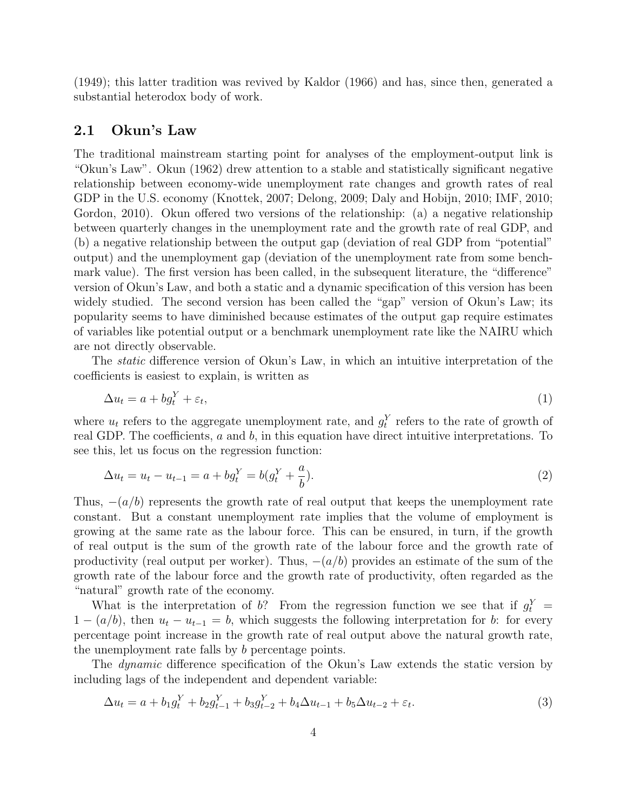(1949); this latter tradition was revived by Kaldor (1966) and has, since then, generated a substantial heterodox body of work.

#### 2.1 Okun's Law

The traditional mainstream starting point for analyses of the employment-output link is "Okun's Law". Okun (1962) drew attention to a stable and statistically significant negative relationship between economy-wide unemployment rate changes and growth rates of real GDP in the U.S. economy (Knottek, 2007; Delong, 2009; Daly and Hobijn, 2010; IMF, 2010; Gordon, 2010). Okun offered two versions of the relationship: (a) a negative relationship between quarterly changes in the unemployment rate and the growth rate of real GDP, and (b) a negative relationship between the output gap (deviation of real GDP from "potential" output) and the unemployment gap (deviation of the unemployment rate from some benchmark value). The first version has been called, in the subsequent literature, the "difference" version of Okun's Law, and both a static and a dynamic specification of this version has been widely studied. The second version has been called the "gap" version of Okun's Law; its popularity seems to have diminished because estimates of the output gap require estimates of variables like potential output or a benchmark unemployment rate like the NAIRU which are not directly observable.

The *static* difference version of Okun's Law, in which an intuitive interpretation of the coefficients is easiest to explain, is written as

$$
\Delta u_t = a + b g_t^Y + \varepsilon_t,\tag{1}
$$

where  $u_t$  refers to the aggregate unemployment rate, and  $g_t^Y$  refers to the rate of growth of real GDP. The coefficients, a and b, in this equation have direct intuitive interpretations. To see this, let us focus on the regression function:

$$
\Delta u_t = u_t - u_{t-1} = a + b g_t^Y = b(g_t^Y + \frac{a}{b}).
$$
\n(2)

Thus,  $-(a/b)$  represents the growth rate of real output that keeps the unemployment rate constant. But a constant unemployment rate implies that the volume of employment is growing at the same rate as the labour force. This can be ensured, in turn, if the growth of real output is the sum of the growth rate of the labour force and the growth rate of productivity (real output per worker). Thus,  $-(a/b)$  provides an estimate of the sum of the growth rate of the labour force and the growth rate of productivity, often regarded as the "natural" growth rate of the economy.

What is the interpretation of b? From the regression function we see that if  $g_t^Y$  =  $1 - (a/b)$ , then  $u_t - u_{t-1} = b$ , which suggests the following interpretation for b: for every percentage point increase in the growth rate of real output above the natural growth rate, the unemployment rate falls by b percentage points.

The *dynamic* difference specification of the Okun's Law extends the static version by including lags of the independent and dependent variable:

$$
\Delta u_t = a + b_1 g_t^Y + b_2 g_{t-1}^Y + b_3 g_{t-2}^Y + b_4 \Delta u_{t-1} + b_5 \Delta u_{t-2} + \varepsilon_t.
$$
\n(3)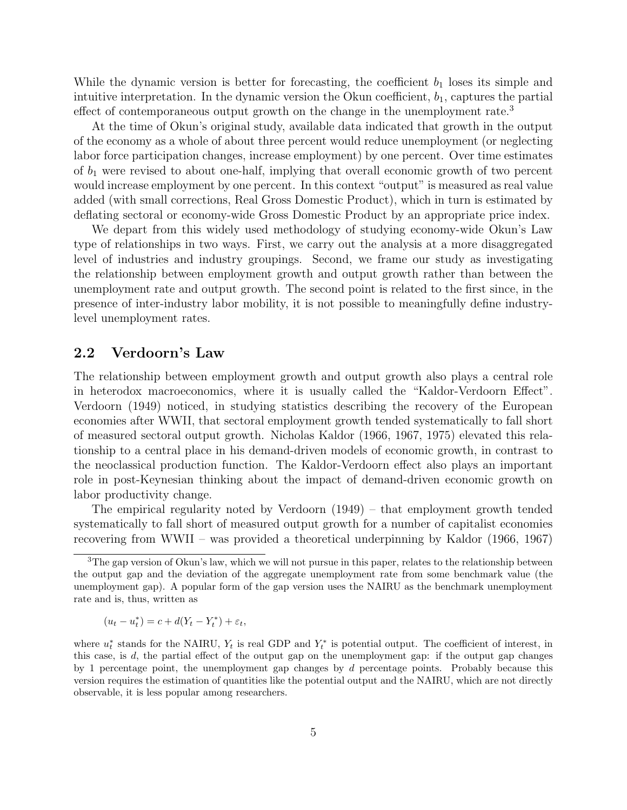While the dynamic version is better for forecasting, the coefficient  $b_1$  loses its simple and intuitive interpretation. In the dynamic version the Okun coefficient,  $b_1$ , captures the partial effect of contemporaneous output growth on the change in the unemployment rate.<sup>3</sup>

At the time of Okun's original study, available data indicated that growth in the output of the economy as a whole of about three percent would reduce unemployment (or neglecting labor force participation changes, increase employment) by one percent. Over time estimates of  $b_1$  were revised to about one-half, implying that overall economic growth of two percent would increase employment by one percent. In this context "output" is measured as real value added (with small corrections, Real Gross Domestic Product), which in turn is estimated by deflating sectoral or economy-wide Gross Domestic Product by an appropriate price index.

We depart from this widely used methodology of studying economy-wide Okun's Law type of relationships in two ways. First, we carry out the analysis at a more disaggregated level of industries and industry groupings. Second, we frame our study as investigating the relationship between employment growth and output growth rather than between the unemployment rate and output growth. The second point is related to the first since, in the presence of inter-industry labor mobility, it is not possible to meaningfully define industrylevel unemployment rates.

#### 2.2 Verdoorn's Law

The relationship between employment growth and output growth also plays a central role in heterodox macroeconomics, where it is usually called the "Kaldor-Verdoorn Effect". Verdoorn (1949) noticed, in studying statistics describing the recovery of the European economies after WWII, that sectoral employment growth tended systematically to fall short of measured sectoral output growth. Nicholas Kaldor (1966, 1967, 1975) elevated this relationship to a central place in his demand-driven models of economic growth, in contrast to the neoclassical production function. The Kaldor-Verdoorn effect also plays an important role in post-Keynesian thinking about the impact of demand-driven economic growth on labor productivity change.

The empirical regularity noted by Verdoorn (1949) – that employment growth tended systematically to fall short of measured output growth for a number of capitalist economies recovering from WWII – was provided a theoretical underpinning by Kaldor (1966, 1967)

$$
(u_t - u_t^*) = c + d(Y_t - Y_t^*) + \varepsilon_t,
$$

<sup>&</sup>lt;sup>3</sup>The gap version of Okun's law, which we will not pursue in this paper, relates to the relationship between the output gap and the deviation of the aggregate unemployment rate from some benchmark value (the unemployment gap). A popular form of the gap version uses the NAIRU as the benchmark unemployment rate and is, thus, written as

where  $u_t^*$  stands for the NAIRU,  $Y_t$  is real GDP and  $Y_t^*$  is potential output. The coefficient of interest, in this case, is d, the partial effect of the output gap on the unemployment gap: if the output gap changes by 1 percentage point, the unemployment gap changes by  $d$  percentage points. Probably because this version requires the estimation of quantities like the potential output and the NAIRU, which are not directly observable, it is less popular among researchers.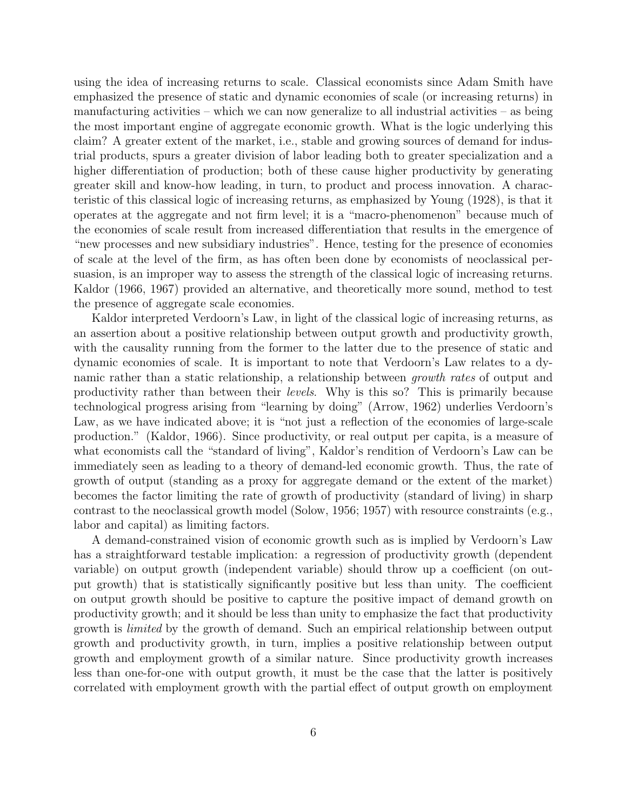using the idea of increasing returns to scale. Classical economists since Adam Smith have emphasized the presence of static and dynamic economies of scale (or increasing returns) in manufacturing activities – which we can now generalize to all industrial activities – as being the most important engine of aggregate economic growth. What is the logic underlying this claim? A greater extent of the market, i.e., stable and growing sources of demand for industrial products, spurs a greater division of labor leading both to greater specialization and a higher differentiation of production; both of these cause higher productivity by generating greater skill and know-how leading, in turn, to product and process innovation. A characteristic of this classical logic of increasing returns, as emphasized by Young (1928), is that it operates at the aggregate and not firm level; it is a "macro-phenomenon" because much of the economies of scale result from increased differentiation that results in the emergence of "new processes and new subsidiary industries". Hence, testing for the presence of economies of scale at the level of the firm, as has often been done by economists of neoclassical persuasion, is an improper way to assess the strength of the classical logic of increasing returns. Kaldor (1966, 1967) provided an alternative, and theoretically more sound, method to test the presence of aggregate scale economies.

Kaldor interpreted Verdoorn's Law, in light of the classical logic of increasing returns, as an assertion about a positive relationship between output growth and productivity growth, with the causality running from the former to the latter due to the presence of static and dynamic economies of scale. It is important to note that Verdoorn's Law relates to a dynamic rather than a static relationship, a relationship between growth rates of output and productivity rather than between their levels. Why is this so? This is primarily because technological progress arising from "learning by doing" (Arrow, 1962) underlies Verdoorn's Law, as we have indicated above; it is "not just a reflection of the economies of large-scale production." (Kaldor, 1966). Since productivity, or real output per capita, is a measure of what economists call the "standard of living", Kaldor's rendition of Verdoorn's Law can be immediately seen as leading to a theory of demand-led economic growth. Thus, the rate of growth of output (standing as a proxy for aggregate demand or the extent of the market) becomes the factor limiting the rate of growth of productivity (standard of living) in sharp contrast to the neoclassical growth model (Solow, 1956; 1957) with resource constraints (e.g., labor and capital) as limiting factors.

A demand-constrained vision of economic growth such as is implied by Verdoorn's Law has a straightforward testable implication: a regression of productivity growth (dependent variable) on output growth (independent variable) should throw up a coefficient (on output growth) that is statistically significantly positive but less than unity. The coefficient on output growth should be positive to capture the positive impact of demand growth on productivity growth; and it should be less than unity to emphasize the fact that productivity growth is limited by the growth of demand. Such an empirical relationship between output growth and productivity growth, in turn, implies a positive relationship between output growth and employment growth of a similar nature. Since productivity growth increases less than one-for-one with output growth, it must be the case that the latter is positively correlated with employment growth with the partial effect of output growth on employment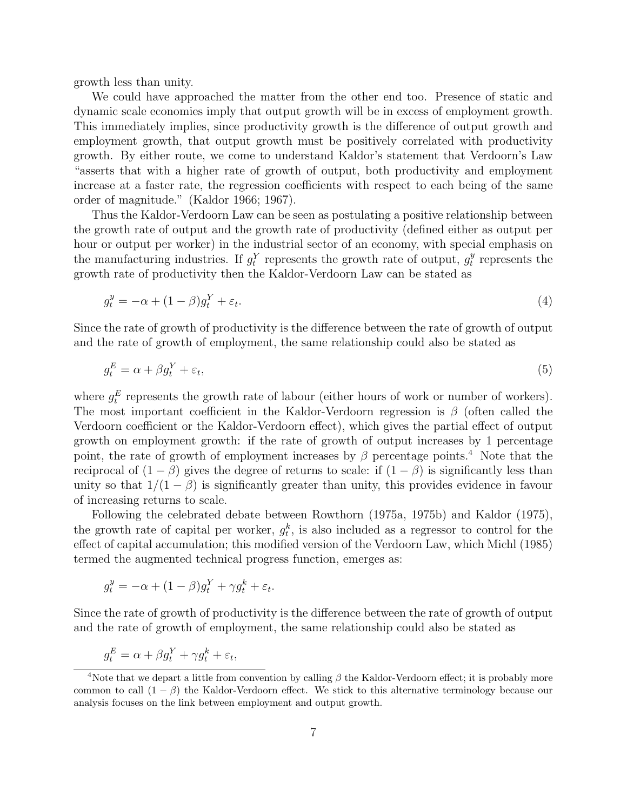growth less than unity.

We could have approached the matter from the other end too. Presence of static and dynamic scale economies imply that output growth will be in excess of employment growth. This immediately implies, since productivity growth is the difference of output growth and employment growth, that output growth must be positively correlated with productivity growth. By either route, we come to understand Kaldor's statement that Verdoorn's Law "asserts that with a higher rate of growth of output, both productivity and employment increase at a faster rate, the regression coefficients with respect to each being of the same order of magnitude." (Kaldor 1966; 1967).

Thus the Kaldor-Verdoorn Law can be seen as postulating a positive relationship between the growth rate of output and the growth rate of productivity (defined either as output per hour or output per worker) in the industrial sector of an economy, with special emphasis on the manufacturing industries. If  $g_t^Y$  represents the growth rate of output,  $g_t^y$  $_t^y$  represents the growth rate of productivity then the Kaldor-Verdoorn Law can be stated as

$$
g_t^y = -\alpha + (1 - \beta)g_t^Y + \varepsilon_t.
$$
\n<sup>(4)</sup>

Since the rate of growth of productivity is the difference between the rate of growth of output and the rate of growth of employment, the same relationship could also be stated as

$$
g_t^E = \alpha + \beta g_t^Y + \varepsilon_t,\tag{5}
$$

where  $g_t^E$  represents the growth rate of labour (either hours of work or number of workers). The most important coefficient in the Kaldor-Verdoorn regression is  $\beta$  (often called the Verdoorn coefficient or the Kaldor-Verdoorn effect), which gives the partial effect of output growth on employment growth: if the rate of growth of output increases by 1 percentage point, the rate of growth of employment increases by  $\beta$  percentage points.<sup>4</sup> Note that the reciprocal of  $(1 - \beta)$  gives the degree of returns to scale: if  $(1 - \beta)$  is significantly less than unity so that  $1/(1 - \beta)$  is significantly greater than unity, this provides evidence in favour of increasing returns to scale.

Following the celebrated debate between Rowthorn (1975a, 1975b) and Kaldor (1975), the growth rate of capital per worker,  $g_t^k$ , is also included as a regressor to control for the effect of capital accumulation; this modified version of the Verdoorn Law, which Michl (1985) termed the augmented technical progress function, emerges as:

$$
g_t^y = -\alpha + (1 - \beta)g_t^Y + \gamma g_t^k + \varepsilon_t.
$$

Since the rate of growth of productivity is the difference between the rate of growth of output and the rate of growth of employment, the same relationship could also be stated as

$$
g_t^E = \alpha + \beta g_t^Y + \gamma g_t^k + \varepsilon_t,
$$

<sup>&</sup>lt;sup>4</sup>Note that we depart a little from convention by calling  $\beta$  the Kaldor-Verdoorn effect; it is probably more common to call  $(1 - \beta)$  the Kaldor-Verdoorn effect. We stick to this alternative terminology because our analysis focuses on the link between employment and output growth.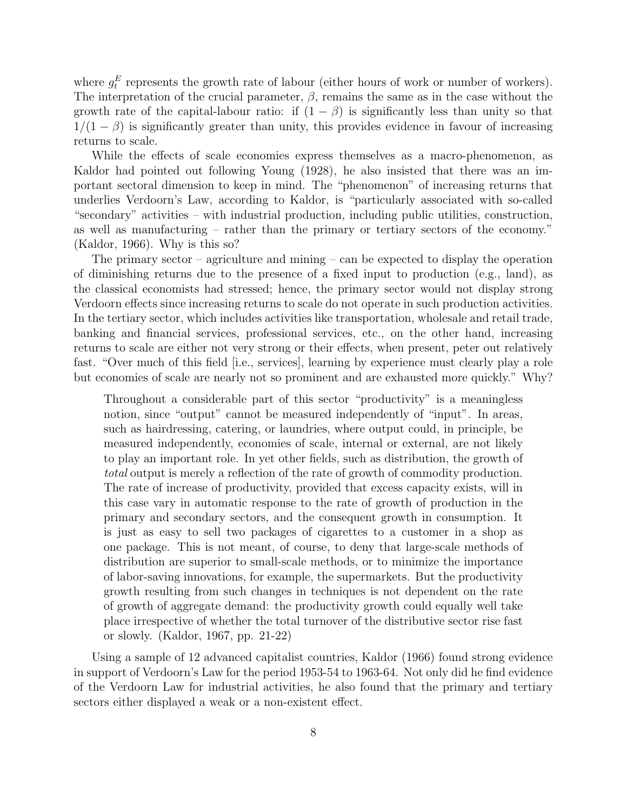where  $g_t^E$  represents the growth rate of labour (either hours of work or number of workers). The interpretation of the crucial parameter,  $\beta$ , remains the same as in the case without the growth rate of the capital-labour ratio: if  $(1 - \beta)$  is significantly less than unity so that  $1/(1 - \beta)$  is significantly greater than unity, this provides evidence in favour of increasing returns to scale.

While the effects of scale economies express themselves as a macro-phenomenon, as Kaldor had pointed out following Young (1928), he also insisted that there was an important sectoral dimension to keep in mind. The "phenomenon" of increasing returns that underlies Verdoorn's Law, according to Kaldor, is "particularly associated with so-called "secondary" activities – with industrial production, including public utilities, construction, as well as manufacturing – rather than the primary or tertiary sectors of the economy." (Kaldor, 1966). Why is this so?

The primary sector – agriculture and mining – can be expected to display the operation of diminishing returns due to the presence of a fixed input to production (e.g., land), as the classical economists had stressed; hence, the primary sector would not display strong Verdoorn effects since increasing returns to scale do not operate in such production activities. In the tertiary sector, which includes activities like transportation, wholesale and retail trade, banking and financial services, professional services, etc., on the other hand, increasing returns to scale are either not very strong or their effects, when present, peter out relatively fast. "Over much of this field [i.e., services], learning by experience must clearly play a role but economies of scale are nearly not so prominent and are exhausted more quickly." Why?

Throughout a considerable part of this sector "productivity" is a meaningless notion, since "output" cannot be measured independently of "input". In areas, such as hairdressing, catering, or laundries, where output could, in principle, be measured independently, economies of scale, internal or external, are not likely to play an important role. In yet other fields, such as distribution, the growth of total output is merely a reflection of the rate of growth of commodity production. The rate of increase of productivity, provided that excess capacity exists, will in this case vary in automatic response to the rate of growth of production in the primary and secondary sectors, and the consequent growth in consumption. It is just as easy to sell two packages of cigarettes to a customer in a shop as one package. This is not meant, of course, to deny that large-scale methods of distribution are superior to small-scale methods, or to minimize the importance of labor-saving innovations, for example, the supermarkets. But the productivity growth resulting from such changes in techniques is not dependent on the rate of growth of aggregate demand: the productivity growth could equally well take place irrespective of whether the total turnover of the distributive sector rise fast or slowly. (Kaldor, 1967, pp. 21-22)

Using a sample of 12 advanced capitalist countries, Kaldor (1966) found strong evidence in support of Verdoorn's Law for the period 1953-54 to 1963-64. Not only did he find evidence of the Verdoorn Law for industrial activities, he also found that the primary and tertiary sectors either displayed a weak or a non-existent effect.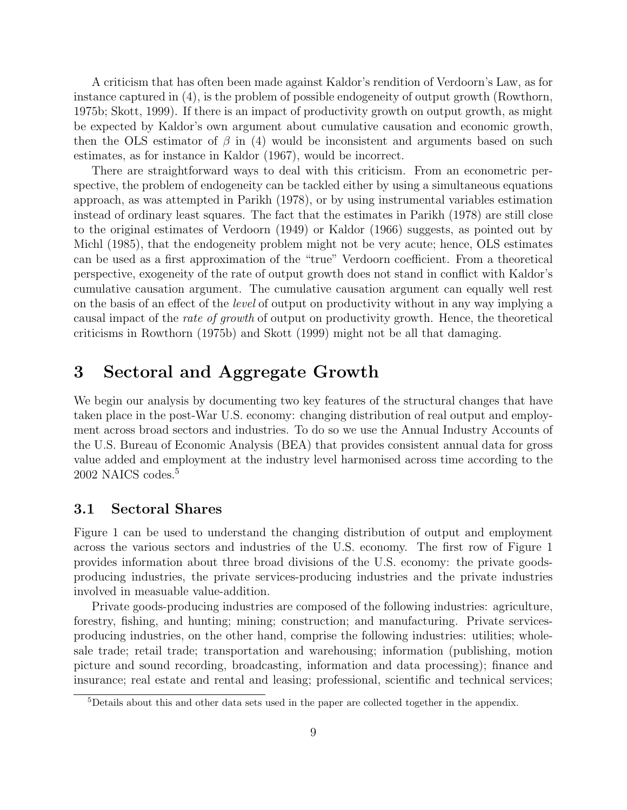A criticism that has often been made against Kaldor's rendition of Verdoorn's Law, as for instance captured in (4), is the problem of possible endogeneity of output growth (Rowthorn, 1975b; Skott, 1999). If there is an impact of productivity growth on output growth, as might be expected by Kaldor's own argument about cumulative causation and economic growth, then the OLS estimator of  $\beta$  in (4) would be inconsistent and arguments based on such estimates, as for instance in Kaldor (1967), would be incorrect.

There are straightforward ways to deal with this criticism. From an econometric perspective, the problem of endogeneity can be tackled either by using a simultaneous equations approach, as was attempted in Parikh (1978), or by using instrumental variables estimation instead of ordinary least squares. The fact that the estimates in Parikh (1978) are still close to the original estimates of Verdoorn (1949) or Kaldor (1966) suggests, as pointed out by Michl (1985), that the endogeneity problem might not be very acute; hence, OLS estimates can be used as a first approximation of the "true" Verdoorn coefficient. From a theoretical perspective, exogeneity of the rate of output growth does not stand in conflict with Kaldor's cumulative causation argument. The cumulative causation argument can equally well rest on the basis of an effect of the level of output on productivity without in any way implying a causal impact of the rate of growth of output on productivity growth. Hence, the theoretical criticisms in Rowthorn (1975b) and Skott (1999) might not be all that damaging.

# 3 Sectoral and Aggregate Growth

We begin our analysis by documenting two key features of the structural changes that have taken place in the post-War U.S. economy: changing distribution of real output and employment across broad sectors and industries. To do so we use the Annual Industry Accounts of the U.S. Bureau of Economic Analysis (BEA) that provides consistent annual data for gross value added and employment at the industry level harmonised across time according to the 2002 NAICS codes.<sup>5</sup>

#### 3.1 Sectoral Shares

Figure 1 can be used to understand the changing distribution of output and employment across the various sectors and industries of the U.S. economy. The first row of Figure 1 provides information about three broad divisions of the U.S. economy: the private goodsproducing industries, the private services-producing industries and the private industries involved in measuable value-addition.

Private goods-producing industries are composed of the following industries: agriculture, forestry, fishing, and hunting; mining; construction; and manufacturing. Private servicesproducing industries, on the other hand, comprise the following industries: utilities; wholesale trade; retail trade; transportation and warehousing; information (publishing, motion picture and sound recording, broadcasting, information and data processing); finance and insurance; real estate and rental and leasing; professional, scientific and technical services;

<sup>5</sup>Details about this and other data sets used in the paper are collected together in the appendix.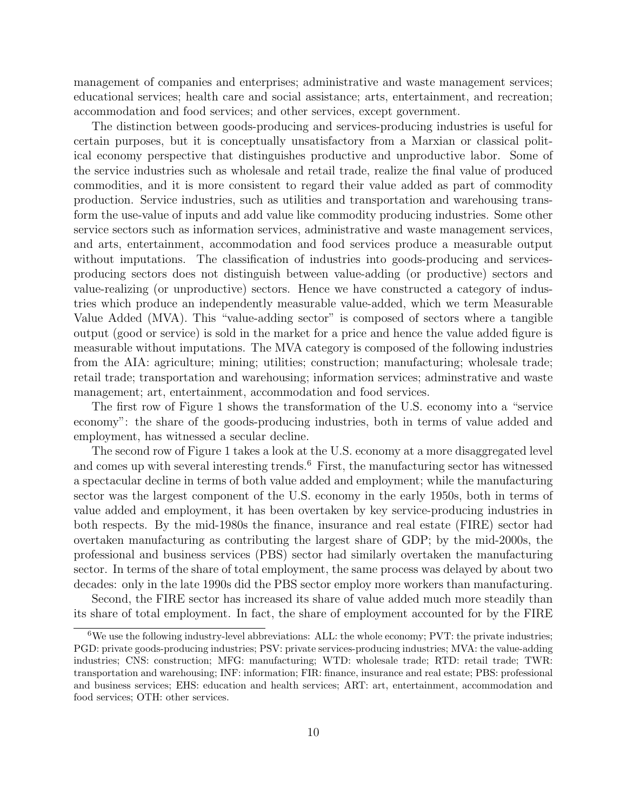management of companies and enterprises; administrative and waste management services; educational services; health care and social assistance; arts, entertainment, and recreation; accommodation and food services; and other services, except government.

The distinction between goods-producing and services-producing industries is useful for certain purposes, but it is conceptually unsatisfactory from a Marxian or classical political economy perspective that distinguishes productive and unproductive labor. Some of the service industries such as wholesale and retail trade, realize the final value of produced commodities, and it is more consistent to regard their value added as part of commodity production. Service industries, such as utilities and transportation and warehousing transform the use-value of inputs and add value like commodity producing industries. Some other service sectors such as information services, administrative and waste management services, and arts, entertainment, accommodation and food services produce a measurable output without imputations. The classification of industries into goods-producing and servicesproducing sectors does not distinguish between value-adding (or productive) sectors and value-realizing (or unproductive) sectors. Hence we have constructed a category of industries which produce an independently measurable value-added, which we term Measurable Value Added (MVA). This "value-adding sector" is composed of sectors where a tangible output (good or service) is sold in the market for a price and hence the value added figure is measurable without imputations. The MVA category is composed of the following industries from the AIA: agriculture; mining; utilities; construction; manufacturing; wholesale trade; retail trade; transportation and warehousing; information services; adminstrative and waste management; art, entertainment, accommodation and food services.

The first row of Figure 1 shows the transformation of the U.S. economy into a "service economy": the share of the goods-producing industries, both in terms of value added and employment, has witnessed a secular decline.

The second row of Figure 1 takes a look at the U.S. economy at a more disaggregated level and comes up with several interesting trends.<sup>6</sup> First, the manufacturing sector has witnessed a spectacular decline in terms of both value added and employment; while the manufacturing sector was the largest component of the U.S. economy in the early 1950s, both in terms of value added and employment, it has been overtaken by key service-producing industries in both respects. By the mid-1980s the finance, insurance and real estate (FIRE) sector had overtaken manufacturing as contributing the largest share of GDP; by the mid-2000s, the professional and business services (PBS) sector had similarly overtaken the manufacturing sector. In terms of the share of total employment, the same process was delayed by about two decades: only in the late 1990s did the PBS sector employ more workers than manufacturing.

Second, the FIRE sector has increased its share of value added much more steadily than its share of total employment. In fact, the share of employment accounted for by the FIRE

 ${}^{6}$ We use the following industry-level abbreviations: ALL: the whole economy; PVT: the private industries; PGD: private goods-producing industries; PSV: private services-producing industries; MVA: the value-adding industries; CNS: construction; MFG: manufacturing; WTD: wholesale trade; RTD: retail trade; TWR: transportation and warehousing; INF: information; FIR: finance, insurance and real estate; PBS: professional and business services; EHS: education and health services; ART: art, entertainment, accommodation and food services; OTH: other services.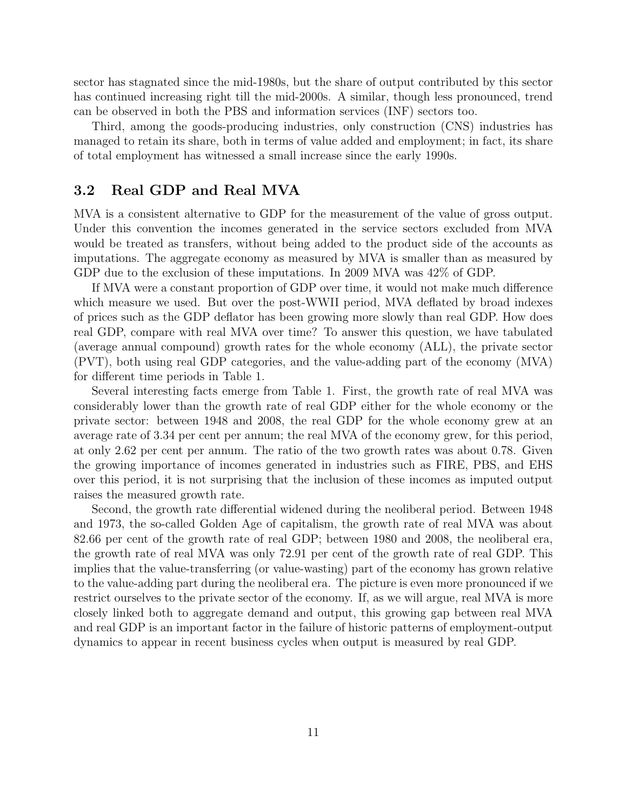sector has stagnated since the mid-1980s, but the share of output contributed by this sector has continued increasing right till the mid-2000s. A similar, though less pronounced, trend can be observed in both the PBS and information services (INF) sectors too.

Third, among the goods-producing industries, only construction (CNS) industries has managed to retain its share, both in terms of value added and employment; in fact, its share of total employment has witnessed a small increase since the early 1990s.

#### 3.2 Real GDP and Real MVA

MVA is a consistent alternative to GDP for the measurement of the value of gross output. Under this convention the incomes generated in the service sectors excluded from MVA would be treated as transfers, without being added to the product side of the accounts as imputations. The aggregate economy as measured by MVA is smaller than as measured by GDP due to the exclusion of these imputations. In 2009 MVA was 42% of GDP.

If MVA were a constant proportion of GDP over time, it would not make much difference which measure we used. But over the post-WWII period, MVA deflated by broad indexes of prices such as the GDP deflator has been growing more slowly than real GDP. How does real GDP, compare with real MVA over time? To answer this question, we have tabulated (average annual compound) growth rates for the whole economy (ALL), the private sector (PVT), both using real GDP categories, and the value-adding part of the economy (MVA) for different time periods in Table 1.

Several interesting facts emerge from Table 1. First, the growth rate of real MVA was considerably lower than the growth rate of real GDP either for the whole economy or the private sector: between 1948 and 2008, the real GDP for the whole economy grew at an average rate of 3.34 per cent per annum; the real MVA of the economy grew, for this period, at only 2.62 per cent per annum. The ratio of the two growth rates was about 0.78. Given the growing importance of incomes generated in industries such as FIRE, PBS, and EHS over this period, it is not surprising that the inclusion of these incomes as imputed output raises the measured growth rate.

Second, the growth rate differential widened during the neoliberal period. Between 1948 and 1973, the so-called Golden Age of capitalism, the growth rate of real MVA was about 82.66 per cent of the growth rate of real GDP; between 1980 and 2008, the neoliberal era, the growth rate of real MVA was only 72.91 per cent of the growth rate of real GDP. This implies that the value-transferring (or value-wasting) part of the economy has grown relative to the value-adding part during the neoliberal era. The picture is even more pronounced if we restrict ourselves to the private sector of the economy. If, as we will argue, real MVA is more closely linked both to aggregate demand and output, this growing gap between real MVA and real GDP is an important factor in the failure of historic patterns of employment-output dynamics to appear in recent business cycles when output is measured by real GDP.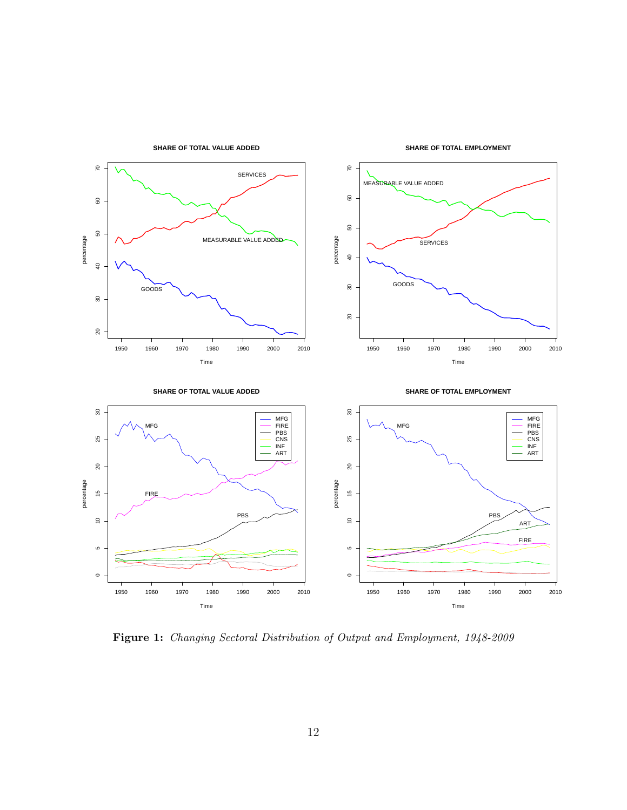

Figure 1: Changing Sectoral Distribution of Output and Employment, 1948-2009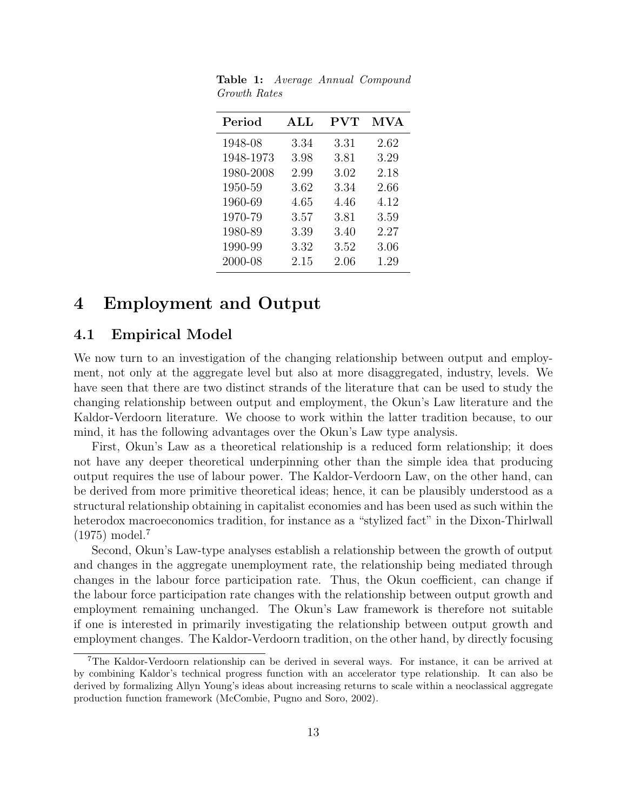| Period    | $\mathbf{ALL}$ | $\rm PVT$ | MVA  |
|-----------|----------------|-----------|------|
| 1948-08   | 3.34           | 3.31      | 2.62 |
| 1948-1973 | 3.98           | 3.81      | 3.29 |
| 1980-2008 | 2.99           | 3.02      | 2.18 |
| 1950-59   | 3.62           | 3.34      | 2.66 |
| 1960-69   | 4.65           | 4.46      | 4.12 |
| 1970-79   | 3.57           | 3.81      | 3.59 |
| 1980-89   | 3.39           | 3.40      | 2.27 |
| 1990-99   | 3.32           | 3.52      | 3.06 |
| 2000-08   | 2.15           | 2.06      | 1.29 |

Table 1: Average Annual Compound Growth Rates

# 4 Employment and Output

#### 4.1 Empirical Model

We now turn to an investigation of the changing relationship between output and employment, not only at the aggregate level but also at more disaggregated, industry, levels. We have seen that there are two distinct strands of the literature that can be used to study the changing relationship between output and employment, the Okun's Law literature and the Kaldor-Verdoorn literature. We choose to work within the latter tradition because, to our mind, it has the following advantages over the Okun's Law type analysis.

First, Okun's Law as a theoretical relationship is a reduced form relationship; it does not have any deeper theoretical underpinning other than the simple idea that producing output requires the use of labour power. The Kaldor-Verdoorn Law, on the other hand, can be derived from more primitive theoretical ideas; hence, it can be plausibly understood as a structural relationship obtaining in capitalist economies and has been used as such within the heterodox macroeconomics tradition, for instance as a "stylized fact" in the Dixon-Thirlwall (1975) model.<sup>7</sup>

Second, Okun's Law-type analyses establish a relationship between the growth of output and changes in the aggregate unemployment rate, the relationship being mediated through changes in the labour force participation rate. Thus, the Okun coefficient, can change if the labour force participation rate changes with the relationship between output growth and employment remaining unchanged. The Okun's Law framework is therefore not suitable if one is interested in primarily investigating the relationship between output growth and employment changes. The Kaldor-Verdoorn tradition, on the other hand, by directly focusing

<sup>7</sup>The Kaldor-Verdoorn relationship can be derived in several ways. For instance, it can be arrived at by combining Kaldor's technical progress function with an accelerator type relationship. It can also be derived by formalizing Allyn Young's ideas about increasing returns to scale within a neoclassical aggregate production function framework (McCombie, Pugno and Soro, 2002).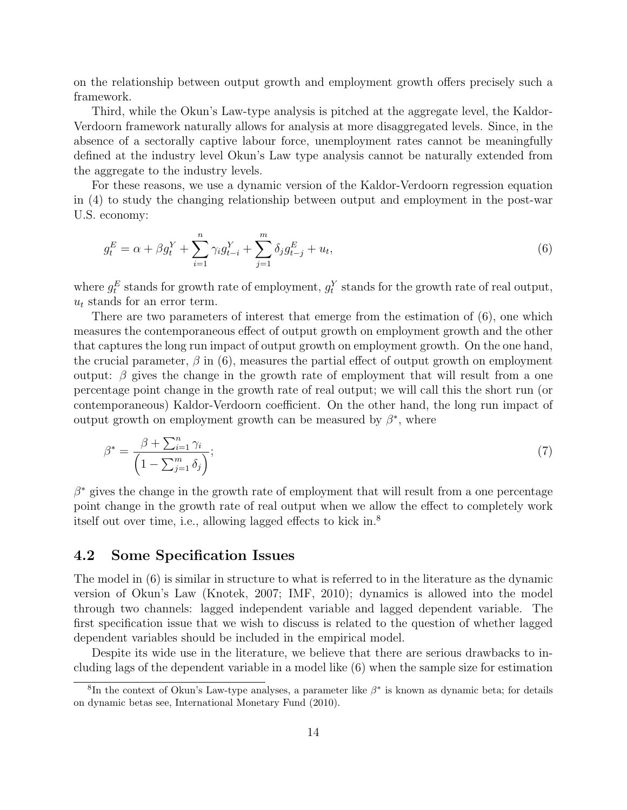on the relationship between output growth and employment growth offers precisely such a framework.

Third, while the Okun's Law-type analysis is pitched at the aggregate level, the Kaldor-Verdoorn framework naturally allows for analysis at more disaggregated levels. Since, in the absence of a sectorally captive labour force, unemployment rates cannot be meaningfully defined at the industry level Okun's Law type analysis cannot be naturally extended from the aggregate to the industry levels.

For these reasons, we use a dynamic version of the Kaldor-Verdoorn regression equation in (4) to study the changing relationship between output and employment in the post-war U.S. economy:

$$
g_t^E = \alpha + \beta g_t^Y + \sum_{i=1}^n \gamma_i g_{t-i}^Y + \sum_{j=1}^m \delta_j g_{t-j}^E + u_t,
$$
\n(6)

where  $g_t^E$  stands for growth rate of employment,  $g_t^Y$  stands for the growth rate of real output,  $u_t$  stands for an error term.

There are two parameters of interest that emerge from the estimation of (6), one which measures the contemporaneous effect of output growth on employment growth and the other that captures the long run impact of output growth on employment growth. On the one hand, the crucial parameter,  $\beta$  in (6), measures the partial effect of output growth on employment output:  $\beta$  gives the change in the growth rate of employment that will result from a one percentage point change in the growth rate of real output; we will call this the short run (or contemporaneous) Kaldor-Verdoorn coefficient. On the other hand, the long run impact of output growth on employment growth can be measured by  $\beta^*$ , where

$$
\beta^* = \frac{\beta + \sum_{i=1}^n \gamma_i}{\left(1 - \sum_{j=1}^m \delta_j\right)};
$$
\n<sup>(7)</sup>

 $\beta^*$  gives the change in the growth rate of employment that will result from a one percentage point change in the growth rate of real output when we allow the effect to completely work itself out over time, i.e., allowing lagged effects to kick in.<sup>8</sup>

#### 4.2 Some Specification Issues

The model in (6) is similar in structure to what is referred to in the literature as the dynamic version of Okun's Law (Knotek, 2007; IMF, 2010); dynamics is allowed into the model through two channels: lagged independent variable and lagged dependent variable. The first specification issue that we wish to discuss is related to the question of whether lagged dependent variables should be included in the empirical model.

Despite its wide use in the literature, we believe that there are serious drawbacks to including lags of the dependent variable in a model like (6) when the sample size for estimation

<sup>&</sup>lt;sup>8</sup>In the context of Okun's Law-type analyses, a parameter like  $\beta^*$  is known as dynamic beta; for details on dynamic betas see, International Monetary Fund (2010).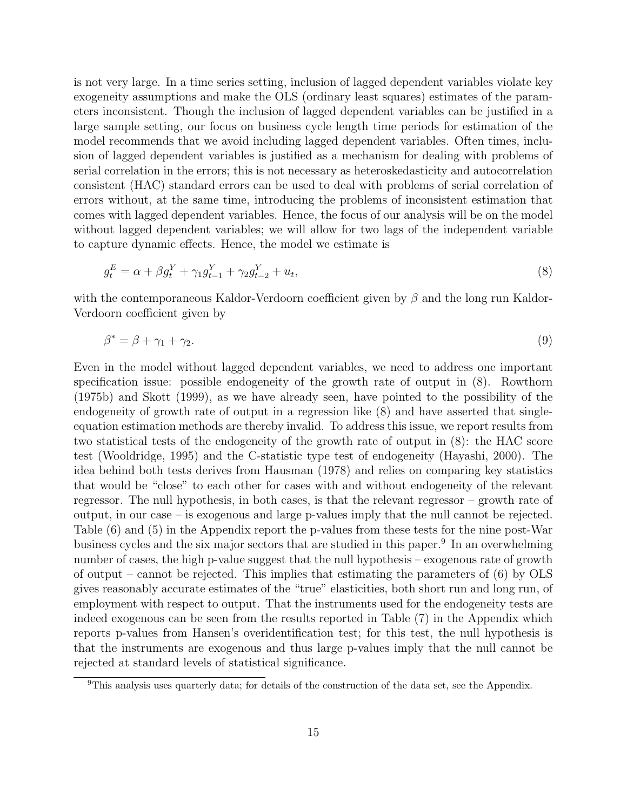is not very large. In a time series setting, inclusion of lagged dependent variables violate key exogeneity assumptions and make the OLS (ordinary least squares) estimates of the parameters inconsistent. Though the inclusion of lagged dependent variables can be justified in a large sample setting, our focus on business cycle length time periods for estimation of the model recommends that we avoid including lagged dependent variables. Often times, inclusion of lagged dependent variables is justified as a mechanism for dealing with problems of serial correlation in the errors; this is not necessary as heteroskedasticity and autocorrelation consistent (HAC) standard errors can be used to deal with problems of serial correlation of errors without, at the same time, introducing the problems of inconsistent estimation that comes with lagged dependent variables. Hence, the focus of our analysis will be on the model without lagged dependent variables; we will allow for two lags of the independent variable to capture dynamic effects. Hence, the model we estimate is

$$
g_t^E = \alpha + \beta g_t^Y + \gamma_1 g_{t-1}^Y + \gamma_2 g_{t-2}^Y + u_t,\tag{8}
$$

with the contemporaneous Kaldor-Verdoorn coefficient given by  $\beta$  and the long run Kaldor-Verdoorn coefficient given by

$$
\beta^* = \beta + \gamma_1 + \gamma_2. \tag{9}
$$

Even in the model without lagged dependent variables, we need to address one important specification issue: possible endogeneity of the growth rate of output in (8). Rowthorn (1975b) and Skott (1999), as we have already seen, have pointed to the possibility of the endogeneity of growth rate of output in a regression like (8) and have asserted that singleequation estimation methods are thereby invalid. To address this issue, we report results from two statistical tests of the endogeneity of the growth rate of output in (8): the HAC score test (Wooldridge, 1995) and the C-statistic type test of endogeneity (Hayashi, 2000). The idea behind both tests derives from Hausman (1978) and relies on comparing key statistics that would be "close" to each other for cases with and without endogeneity of the relevant regressor. The null hypothesis, in both cases, is that the relevant regressor – growth rate of output, in our case – is exogenous and large p-values imply that the null cannot be rejected. Table (6) and (5) in the Appendix report the p-values from these tests for the nine post-War business cycles and the six major sectors that are studied in this paper.<sup>9</sup> In an overwhelming number of cases, the high p-value suggest that the null hypothesis – exogenous rate of growth of output – cannot be rejected. This implies that estimating the parameters of  $(6)$  by OLS gives reasonably accurate estimates of the "true" elasticities, both short run and long run, of employment with respect to output. That the instruments used for the endogeneity tests are indeed exogenous can be seen from the results reported in Table (7) in the Appendix which reports p-values from Hansen's overidentification test; for this test, the null hypothesis is that the instruments are exogenous and thus large p-values imply that the null cannot be rejected at standard levels of statistical significance.

<sup>9</sup>This analysis uses quarterly data; for details of the construction of the data set, see the Appendix.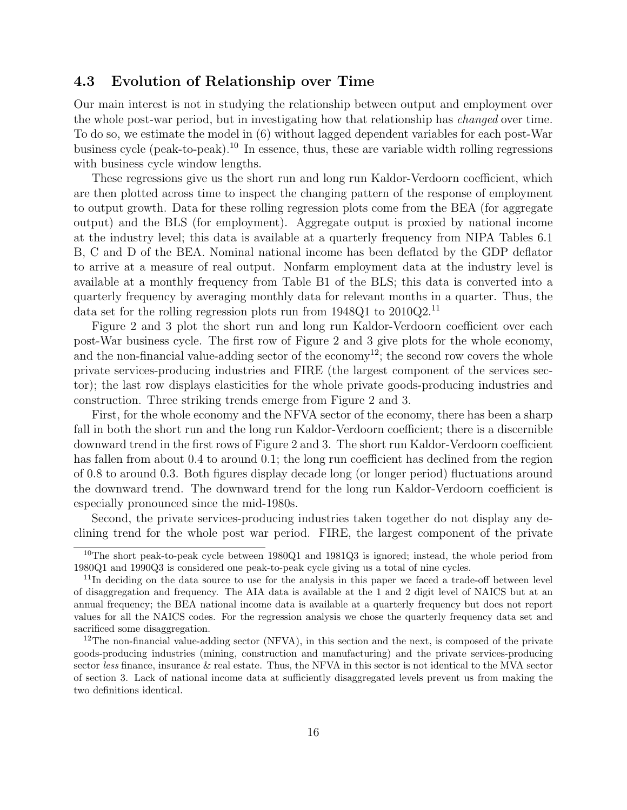#### 4.3 Evolution of Relationship over Time

Our main interest is not in studying the relationship between output and employment over the whole post-war period, but in investigating how that relationship has changed over time. To do so, we estimate the model in (6) without lagged dependent variables for each post-War business cycle (peak-to-peak).<sup>10</sup> In essence, thus, these are variable width rolling regressions with business cycle window lengths.

These regressions give us the short run and long run Kaldor-Verdoorn coefficient, which are then plotted across time to inspect the changing pattern of the response of employment to output growth. Data for these rolling regression plots come from the BEA (for aggregate output) and the BLS (for employment). Aggregate output is proxied by national income at the industry level; this data is available at a quarterly frequency from NIPA Tables 6.1 B, C and D of the BEA. Nominal national income has been deflated by the GDP deflator to arrive at a measure of real output. Nonfarm employment data at the industry level is available at a monthly frequency from Table B1 of the BLS; this data is converted into a quarterly frequency by averaging monthly data for relevant months in a quarter. Thus, the data set for the rolling regression plots run from 1948Q1 to 2010Q2.<sup>11</sup>

Figure 2 and 3 plot the short run and long run Kaldor-Verdoorn coefficient over each post-War business cycle. The first row of Figure 2 and 3 give plots for the whole economy, and the non-financial value-adding sector of the economy<sup>12</sup>; the second row covers the whole private services-producing industries and FIRE (the largest component of the services sector); the last row displays elasticities for the whole private goods-producing industries and construction. Three striking trends emerge from Figure 2 and 3.

First, for the whole economy and the NFVA sector of the economy, there has been a sharp fall in both the short run and the long run Kaldor-Verdoorn coefficient; there is a discernible downward trend in the first rows of Figure 2 and 3. The short run Kaldor-Verdoorn coefficient has fallen from about 0.4 to around 0.1; the long run coefficient has declined from the region of 0.8 to around 0.3. Both figures display decade long (or longer period) fluctuations around the downward trend. The downward trend for the long run Kaldor-Verdoorn coefficient is especially pronounced since the mid-1980s.

Second, the private services-producing industries taken together do not display any declining trend for the whole post war period. FIRE, the largest component of the private

<sup>&</sup>lt;sup>10</sup>The short peak-to-peak cycle between  $1980Q1$  and  $1981Q3$  is ignored; instead, the whole period from 1980Q1 and 1990Q3 is considered one peak-to-peak cycle giving us a total of nine cycles.

<sup>&</sup>lt;sup>11</sup>In deciding on the data source to use for the analysis in this paper we faced a trade-off between level of disaggregation and frequency. The AIA data is available at the 1 and 2 digit level of NAICS but at an annual frequency; the BEA national income data is available at a quarterly frequency but does not report values for all the NAICS codes. For the regression analysis we chose the quarterly frequency data set and sacrificed some disaggregation.

 $12$ The non-financial value-adding sector (NFVA), in this section and the next, is composed of the private goods-producing industries (mining, construction and manufacturing) and the private services-producing sector less finance, insurance & real estate. Thus, the NFVA in this sector is not identical to the MVA sector of section 3. Lack of national income data at sufficiently disaggregated levels prevent us from making the two definitions identical.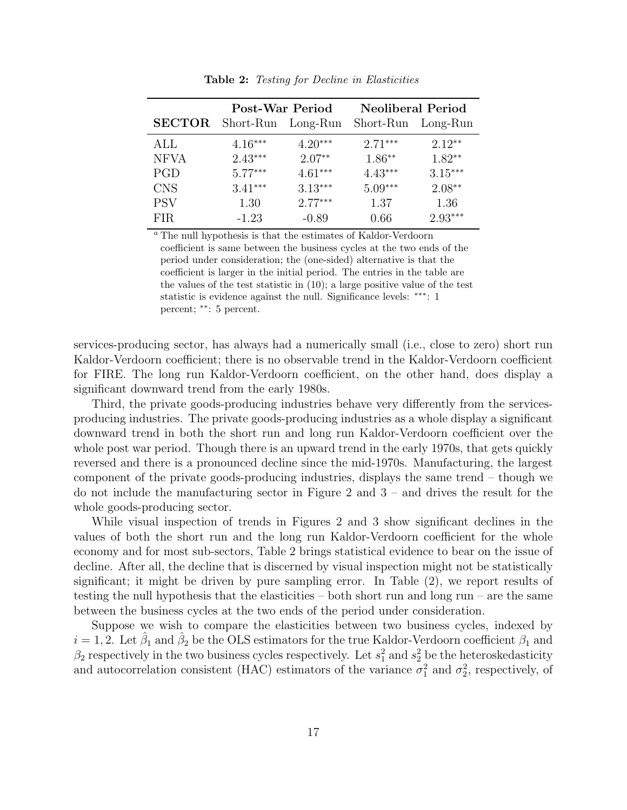|               | Post-War Period    |           | <b>Neoliberal Period</b> |           |  |
|---------------|--------------------|-----------|--------------------------|-----------|--|
| <b>SECTOR</b> | Short-Run Long-Run |           | Short-Run                | Long-Run  |  |
| ALL           | $4.16***$          | $4.20***$ | $2.71***$                | $2.12**$  |  |
| <b>NFVA</b>   | $2.43***$          | $2.07**$  | $1.86**$                 | $1.82**$  |  |
| PGD           | $5.77***$          | $4.61***$ | $4.43***$                | $3.15***$ |  |
| <b>CNS</b>    | $3.41***$          | $3.13***$ | $5.09***$                | $2.08**$  |  |
| <b>PSV</b>    | 1.30               | $2.77***$ | 1.37                     | 1.36      |  |
| <b>FIR</b>    | $-1.23$            | $-0.89$   | 0.66                     | $2.93***$ |  |
|               |                    |           |                          |           |  |

**Table 2:** Testing for Decline in Elasticities

<sup>a</sup> The null hypothesis is that the estimates of Kaldor-Verdoorn coefficient is same between the business cycles at the two ends of the period under consideration; the (one-sided) alternative is that the coefficient is larger in the initial period. The entries in the table are the values of the test statistic in (10); a large positive value of the test statistic is evidence against the null. Significance levels: ∗∗∗: 1 percent; ∗∗: 5 percent.

services-producing sector, has always had a numerically small (i.e., close to zero) short run Kaldor-Verdoorn coefficient; there is no observable trend in the Kaldor-Verdoorn coefficient for FIRE. The long run Kaldor-Verdoorn coefficient, on the other hand, does display a significant downward trend from the early 1980s.

Third, the private goods-producing industries behave very differently from the servicesproducing industries. The private goods-producing industries as a whole display a significant downward trend in both the short run and long run Kaldor-Verdoorn coefficient over the whole post war period. Though there is an upward trend in the early 1970s, that gets quickly reversed and there is a pronounced decline since the mid-1970s. Manufacturing, the largest component of the private goods-producing industries, displays the same trend – though we do not include the manufacturing sector in Figure 2 and 3 – and drives the result for the whole goods-producing sector.

While visual inspection of trends in Figures 2 and 3 show significant declines in the values of both the short run and the long run Kaldor-Verdoorn coefficient for the whole economy and for most sub-sectors, Table 2 brings statistical evidence to bear on the issue of decline. After all, the decline that is discerned by visual inspection might not be statistically significant; it might be driven by pure sampling error. In Table (2), we report results of testing the null hypothesis that the elasticities – both short run and long run – are the same between the business cycles at the two ends of the period under consideration.

Suppose we wish to compare the elasticities between two business cycles, indexed by  $i = 1, 2$ . Let  $\hat{\beta}_1$  and  $\hat{\beta}_2$  be the OLS estimators for the true Kaldor-Verdoorn coefficient  $\beta_1$  and  $\beta_2$  respectively in the two business cycles respectively. Let  $s_1^2$  and  $s_2^2$  be the heteroskedasticity and autocorrelation consistent (HAC) estimators of the variance  $\sigma_1^2$  and  $\sigma_2^2$ , respectively, of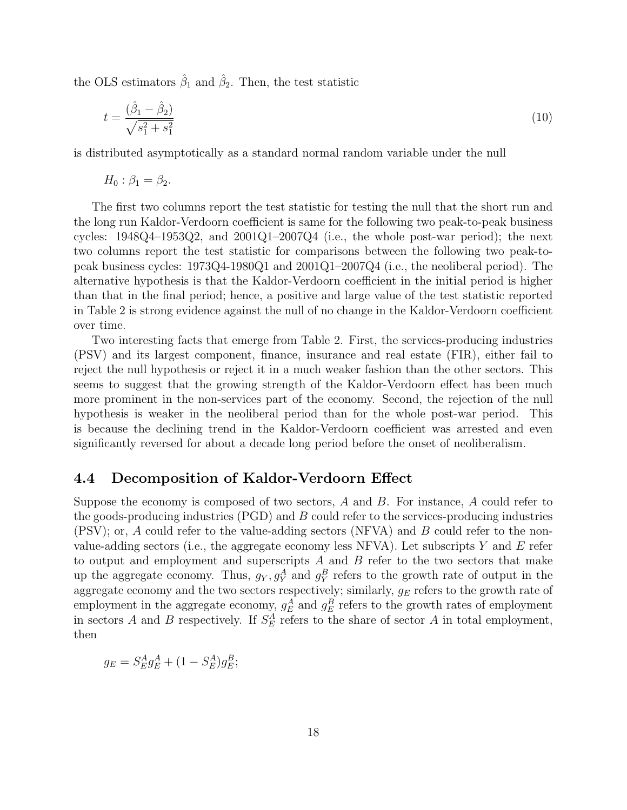the OLS estimators  $\hat{\beta}_1$  and  $\hat{\beta}_2$ . Then, the test statistic

$$
t = \frac{(\hat{\beta}_1 - \hat{\beta}_2)}{\sqrt{s_1^2 + s_1^2}}\tag{10}
$$

is distributed asymptotically as a standard normal random variable under the null

$$
H_0: \beta_1 = \beta_2.
$$

The first two columns report the test statistic for testing the null that the short run and the long run Kaldor-Verdoorn coefficient is same for the following two peak-to-peak business cycles:  $1948Q4-1953Q2$ , and  $2001Q1-2007Q4$  (i.e., the whole post-war period); the next two columns report the test statistic for comparisons between the following two peak-topeak business cycles: 1973Q4-1980Q1 and 2001Q1–2007Q4 (i.e., the neoliberal period). The alternative hypothesis is that the Kaldor-Verdoorn coefficient in the initial period is higher than that in the final period; hence, a positive and large value of the test statistic reported in Table 2 is strong evidence against the null of no change in the Kaldor-Verdoorn coefficient over time.

Two interesting facts that emerge from Table 2. First, the services-producing industries (PSV) and its largest component, finance, insurance and real estate (FIR), either fail to reject the null hypothesis or reject it in a much weaker fashion than the other sectors. This seems to suggest that the growing strength of the Kaldor-Verdoorn effect has been much more prominent in the non-services part of the economy. Second, the rejection of the null hypothesis is weaker in the neoliberal period than for the whole post-war period. This is because the declining trend in the Kaldor-Verdoorn coefficient was arrested and even significantly reversed for about a decade long period before the onset of neoliberalism.

#### 4.4 Decomposition of Kaldor-Verdoorn Effect

Suppose the economy is composed of two sectors, A and B. For instance, A could refer to the goods-producing industries (PGD) and B could refer to the services-producing industries (PSV); or, A could refer to the value-adding sectors (NFVA) and B could refer to the nonvalue-adding sectors (i.e., the aggregate economy less NFVA). Let subscripts Y and E refer to output and employment and superscripts  $A$  and  $B$  refer to the two sectors that make up the aggregate economy. Thus,  $g_Y, g_Y^A$  and  $g_Y^B$  refers to the growth rate of output in the aggregate economy and the two sectors respectively; similarly,  $g_E$  refers to the growth rate of employment in the aggregate economy,  $g_E^A$  and  $g_E^B$  refers to the growth rates of employment in sectors A and B respectively. If  $S_E^A$  refers to the share of sector A in total employment, then

$$
g_E = S_E^A g_E^A + (1 - S_E^A) g_E^B;
$$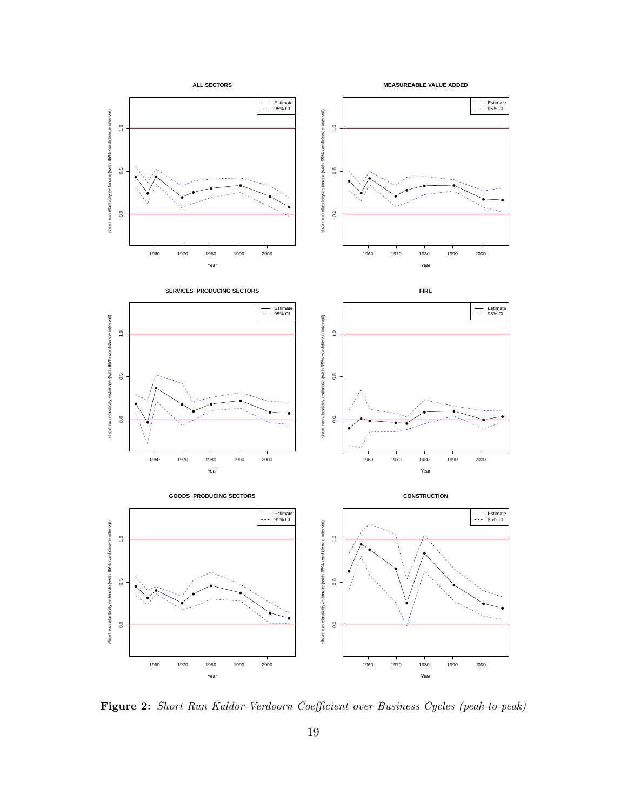

Figure 2: Short Run Kaldor-Verdoorn Coefficient over Business Cycles (peak-to-peak)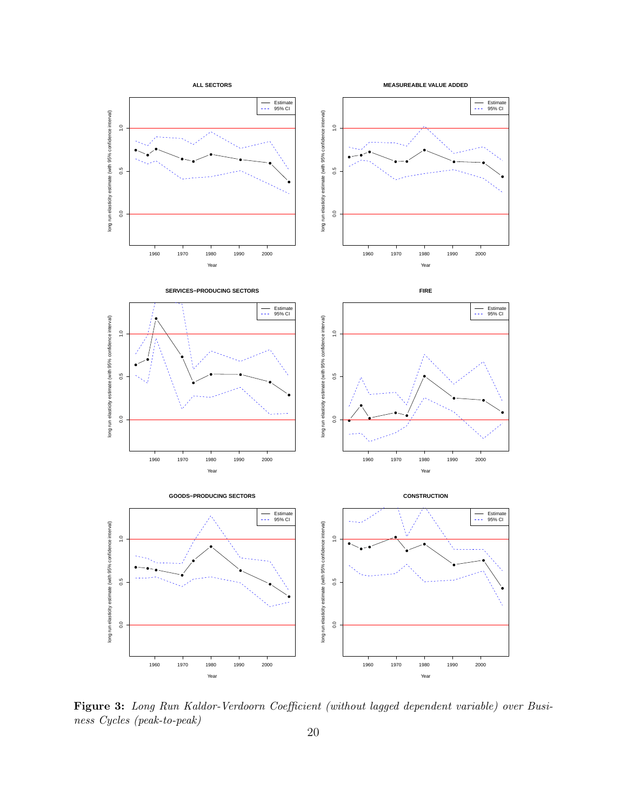

Figure 3: Long Run Kaldor-Verdoorn Coefficient (without lagged dependent variable) over Business Cycles (peak-to-peak)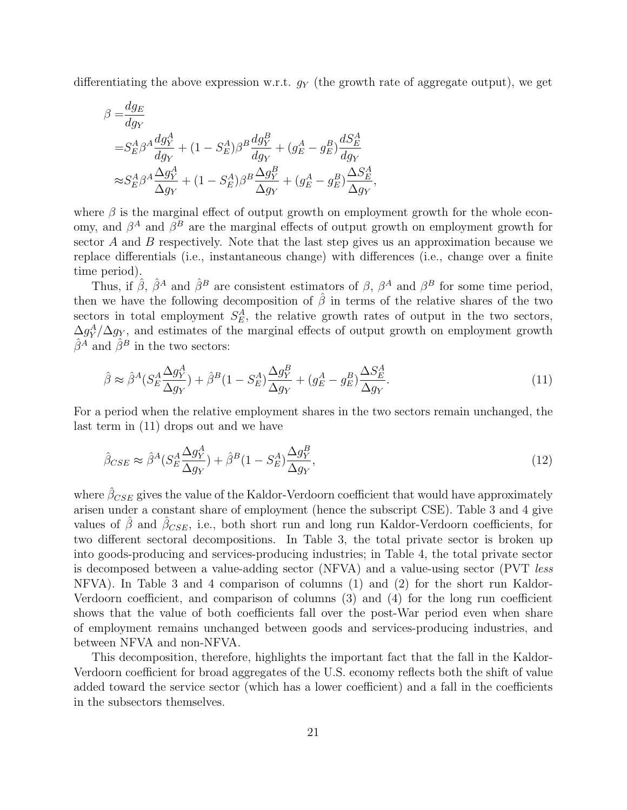differentiating the above expression w.r.t.  $g_Y$  (the growth rate of aggregate output), we get

$$
\begin{split} \beta=&\frac{dg_E}{dg_Y}\\ =&S_E^A\beta^A\frac{dg_Y^A}{dg_Y}+(1-S_E^A)\beta^B\frac{dg_Y^B}{dg_Y}+(g_E^A-g_E^B)\frac{dS_E^A}{dg_Y}\\ \approx&S_E^A\beta^A\frac{\Delta g_Y^A}{\Delta g_Y}+(1-S_E^A)\beta^B\frac{\Delta g_Y^B}{\Delta g_Y}+(g_E^A-g_E^B)\frac{\Delta S_E^A}{\Delta g_Y}, \end{split}
$$

where  $\beta$  is the marginal effect of output growth on employment growth for the whole economy, and  $\beta^A$  and  $\beta^B$  are the marginal effects of output growth on employment growth for sector A and B respectively. Note that the last step gives us an approximation because we replace differentials (i.e., instantaneous change) with differences (i.e., change over a finite time period).

Thus, if  $\hat{\beta}$ ,  $\hat{\beta}^A$  and  $\hat{\beta}^B$  are consistent estimators of  $\beta$ ,  $\beta^A$  and  $\beta^B$  for some time period, then we have the following decomposition of  $\hat{\beta}$  in terms of the relative shares of the two sectors in total employment  $S_E^A$ , the relative growth rates of output in the two sectors,  $\Delta g_Y^A/\Delta g_Y$ , and estimates of the marginal effects of output growth on employment growth  $\hat{\beta}^A$  and  $\hat{\beta}^B$  in the two sectors:

$$
\hat{\beta} \approx \hat{\beta}^A (S_E^A \frac{\Delta g_Y^A}{\Delta g_Y}) + \hat{\beta}^B (1 - S_E^A) \frac{\Delta g_Y^B}{\Delta g_Y} + (g_E^A - g_E^B) \frac{\Delta S_E^A}{\Delta g_Y}.
$$
\n(11)

For a period when the relative employment shares in the two sectors remain unchanged, the last term in (11) drops out and we have

$$
\hat{\beta}_{CSE} \approx \hat{\beta}^A (S_E^A \frac{\Delta g_Y^A}{\Delta g_Y}) + \hat{\beta}^B (1 - S_E^A) \frac{\Delta g_Y^B}{\Delta g_Y},\tag{12}
$$

where  $\hat{\beta}_{CSE}$  gives the value of the Kaldor-Verdoorn coefficient that would have approximately arisen under a constant share of employment (hence the subscript CSE). Table 3 and 4 give values of  $\hat{\beta}$  and  $\hat{\beta}_{CSE}$ , i.e., both short run and long run Kaldor-Verdoorn coefficients, for two different sectoral decompositions. In Table 3, the total private sector is broken up into goods-producing and services-producing industries; in Table 4, the total private sector is decomposed between a value-adding sector (NFVA) and a value-using sector (PVT less NFVA). In Table 3 and 4 comparison of columns (1) and (2) for the short run Kaldor-Verdoorn coefficient, and comparison of columns (3) and (4) for the long run coefficient shows that the value of both coefficients fall over the post-War period even when share of employment remains unchanged between goods and services-producing industries, and between NFVA and non-NFVA.

This decomposition, therefore, highlights the important fact that the fall in the Kaldor-Verdoorn coefficient for broad aggregates of the U.S. economy reflects both the shift of value added toward the service sector (which has a lower coefficient) and a fall in the coefficients in the subsectors themselves.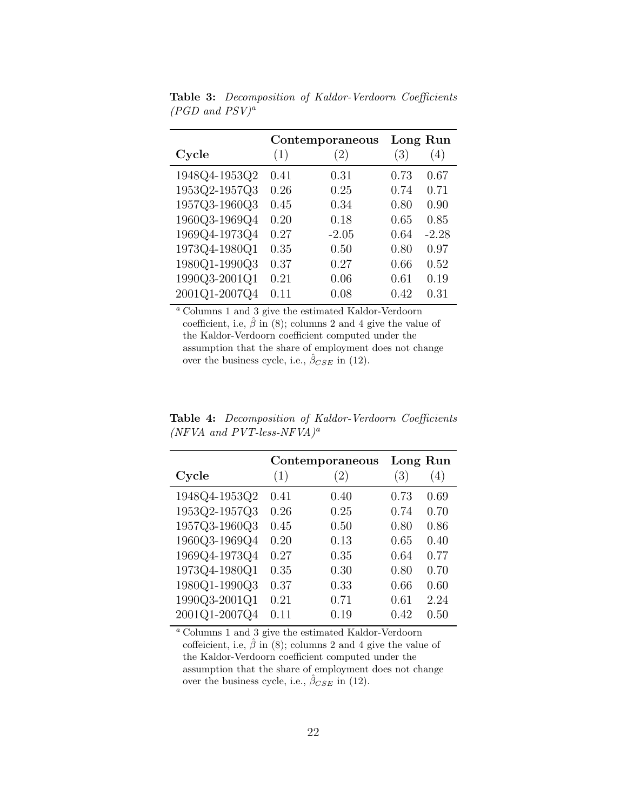|               |      | Contemporaneous | Long Run |         |
|---------------|------|-----------------|----------|---------|
| Cycle         | (1)  | (2)             | (3)      | (4)     |
| 1948Q4-1953Q2 | 0.41 | 0.31            | 0.73     | 0.67    |
| 1953Q2-1957Q3 | 0.26 | 0.25            | 0.74     | 0.71    |
| 1957Q3-1960Q3 | 0.45 | 0.34            | 0.80     | 0.90    |
| 1960Q3-1969Q4 | 0.20 | 0.18            | 0.65     | 0.85    |
| 1969Q4-1973Q4 | 0.27 | $-2.05$         | 0.64     | $-2.28$ |
| 1973Q4-1980Q1 | 0.35 | 0.50            | 0.80     | 0.97    |
| 1980Q1-1990Q3 | 0.37 | 0.27            | 0.66     | 0.52    |
| 1990Q3-2001Q1 | 0.21 | 0.06            | 0.61     | 0.19    |
| 2001Q1-2007Q4 | 0.11 | 0.08            | 0.42     | 0.31    |

Table 3: Decomposition of Kaldor-Verdoorn Coefficients  $(PGD$  and  $PSV)^a$ 

<sup>a</sup> Columns 1 and 3 give the estimated Kaldor-Verdoorn coefficient, i.e,  $\hat{\beta}$  in (8); columns 2 and 4 give the value of the Kaldor-Verdoorn coefficient computed under the assumption that the share of employment does not change over the business cycle, i.e.,  $\hat{\beta}_{CSE}$  in (12).

|               |      | Contemporaneous   | Long Run |      |
|---------------|------|-------------------|----------|------|
| Cycle         | (1)  | $\left( 2\right)$ | (3)      | (4)  |
| 1948Q4-1953Q2 | 0.41 | 0.40              | 0.73     | 0.69 |
| 1953Q2-1957Q3 | 0.26 | 0.25              | 0.74     | 0.70 |
| 1957Q3-1960Q3 | 0.45 | 0.50              | 0.80     | 0.86 |
| 1960Q3-1969Q4 | 0.20 | 0.13              | 0.65     | 0.40 |
| 1969Q4-1973Q4 | 0.27 | 0.35              | 0.64     | 0.77 |
| 1973Q4-1980Q1 | 0.35 | 0.30              | 0.80     | 0.70 |
| 1980Q1-1990Q3 | 0.37 | 0.33              | 0.66     | 0.60 |
| 1990Q3-2001Q1 | 0.21 | 0.71              | 0.61     | 2.24 |
| 2001Q1-2007Q4 | 0.11 | 0.19              | 0.42     | 0.50 |

Table 4: Decomposition of Kaldor-Verdoorn Coefficients  $(NFVA$  and  $PVT$ -less-NFVA)<sup>a</sup>

<sup>a</sup> Columns 1 and 3 give the estimated Kaldor-Verdoorn coffeicient, i.e,  $\hat{\beta}$  in (8); columns 2 and 4 give the value of the Kaldor-Verdoorn coefficient computed under the assumption that the share of employment does not change over the business cycle, i.e.,  $\hat{\beta}_{CSE}$  in (12).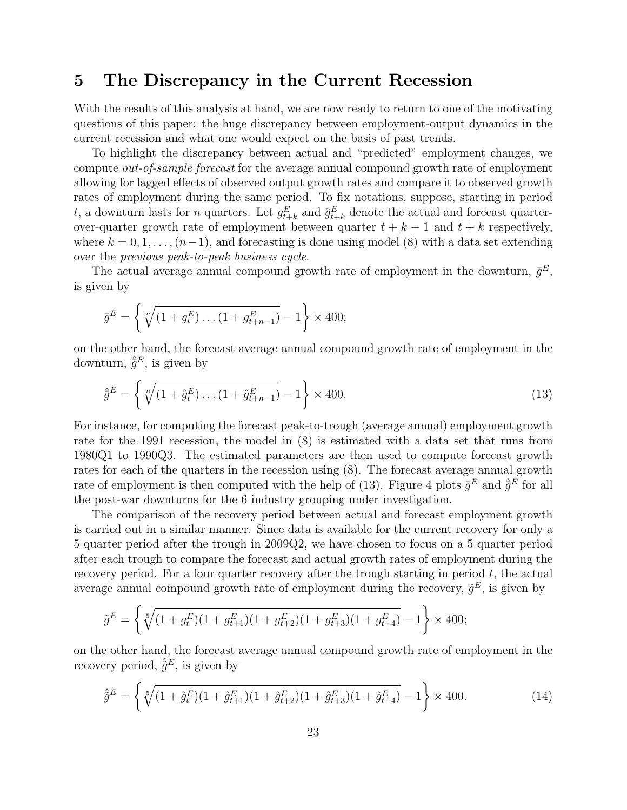# 5 The Discrepancy in the Current Recession

With the results of this analysis at hand, we are now ready to return to one of the motivating questions of this paper: the huge discrepancy between employment-output dynamics in the current recession and what one would expect on the basis of past trends.

To highlight the discrepancy between actual and "predicted" employment changes, we compute out-of-sample forecast for the average annual compound growth rate of employment allowing for lagged effects of observed output growth rates and compare it to observed growth rates of employment during the same period. To fix notations, suppose, starting in period t, a downturn lasts for n quarters. Let  $g_{t+k}^E$  and  $\hat{g}_{t+k}^E$  denote the actual and forecast quarterover-quarter growth rate of employment between quarter  $t + k - 1$  and  $t + k$  respectively, where  $k = 0, 1, \ldots, (n-1)$ , and forecasting is done using model (8) with a data set extending over the previous peak-to-peak business cycle.

The actual average annual compound growth rate of employment in the downturn,  $\bar{g}^E$ , is given by

$$
\bar{g}^E = \left\{ \sqrt[n]{(1 + g_t^E) \dots (1 + g_{t+n-1}^E)} - 1 \right\} \times 400;
$$

on the other hand, the forecast average annual compound growth rate of employment in the downturn,  $\hat{g}^E$ , is given by

$$
\hat{\bar{g}}^E = \left\{ \sqrt[n]{(1 + \hat{g}_t^E) \dots (1 + \hat{g}_{t+n-1}^E)} - 1 \right\} \times 400. \tag{13}
$$

For instance, for computing the forecast peak-to-trough (average annual) employment growth rate for the 1991 recession, the model in (8) is estimated with a data set that runs from 1980Q1 to 1990Q3. The estimated parameters are then used to compute forecast growth rates for each of the quarters in the recession using (8). The forecast average annual growth rate of employment is then computed with the help of (13). Figure 4 plots  $\bar{g}^E$  and  $\hat{\bar{g}}^E$  for all the post-war downturns for the 6 industry grouping under investigation.

The comparison of the recovery period between actual and forecast employment growth is carried out in a similar manner. Since data is available for the current recovery for only a 5 quarter period after the trough in 2009Q2, we have chosen to focus on a 5 quarter period after each trough to compare the forecast and actual growth rates of employment during the recovery period. For a four quarter recovery after the trough starting in period  $t$ , the actual average annual compound growth rate of employment during the recovery,  $\tilde{g}^E$ , is given by

$$
\tilde{g}^E = \left\{ \sqrt[5]{(1+g_t^E)(1+g_{t+1}^E)(1+g_{t+2}^E)(1+g_{t+3}^E)(1+g_{t+4}^E)} - 1 \right\} \times 400;
$$

on the other hand, the forecast average annual compound growth rate of employment in the recovery period,  $\hat{\tilde{g}}^E$ , is given by

$$
\hat{\tilde{g}}^E = \left\{ \sqrt[5]{(1 + \hat{g}_t^E)(1 + \hat{g}_{t+1}^E)(1 + \hat{g}_{t+2}^E)(1 + \hat{g}_{t+3}^E)(1 + \hat{g}_{t+4}^E)} - 1 \right\} \times 400. \tag{14}
$$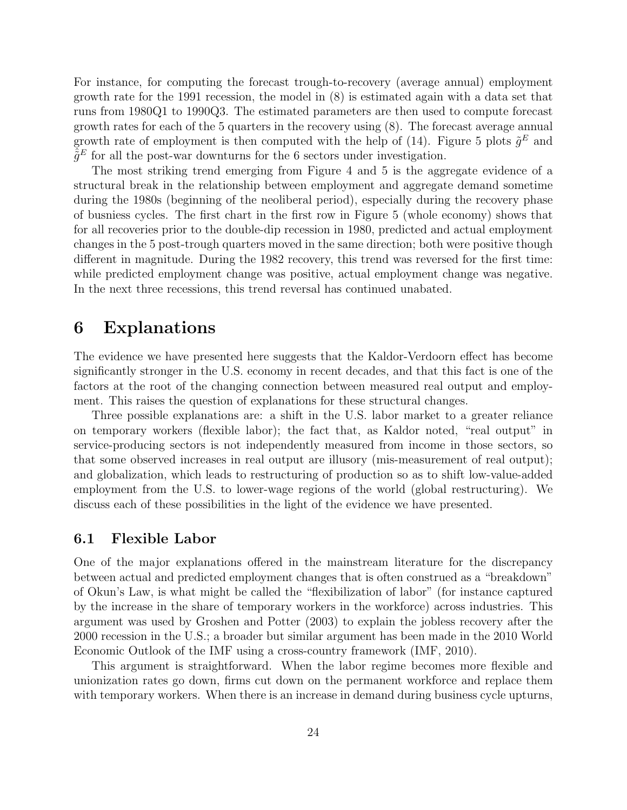For instance, for computing the forecast trough-to-recovery (average annual) employment growth rate for the 1991 recession, the model in (8) is estimated again with a data set that runs from 1980Q1 to 1990Q3. The estimated parameters are then used to compute forecast growth rates for each of the 5 quarters in the recovery using (8). The forecast average annual growth rate of employment is then computed with the help of (14). Figure 5 plots  $\tilde{g}^E$  and  $\hat{\tilde{g}}^E$  for all the post-war downturns for the 6 sectors under investigation.

The most striking trend emerging from Figure 4 and 5 is the aggregate evidence of a structural break in the relationship between employment and aggregate demand sometime during the 1980s (beginning of the neoliberal period), especially during the recovery phase of busniess cycles. The first chart in the first row in Figure 5 (whole economy) shows that for all recoveries prior to the double-dip recession in 1980, predicted and actual employment changes in the 5 post-trough quarters moved in the same direction; both were positive though different in magnitude. During the 1982 recovery, this trend was reversed for the first time: while predicted employment change was positive, actual employment change was negative. In the next three recessions, this trend reversal has continued unabated.

### 6 Explanations

The evidence we have presented here suggests that the Kaldor-Verdoorn effect has become significantly stronger in the U.S. economy in recent decades, and that this fact is one of the factors at the root of the changing connection between measured real output and employment. This raises the question of explanations for these structural changes.

Three possible explanations are: a shift in the U.S. labor market to a greater reliance on temporary workers (flexible labor); the fact that, as Kaldor noted, "real output" in service-producing sectors is not independently measured from income in those sectors, so that some observed increases in real output are illusory (mis-measurement of real output); and globalization, which leads to restructuring of production so as to shift low-value-added employment from the U.S. to lower-wage regions of the world (global restructuring). We discuss each of these possibilities in the light of the evidence we have presented.

#### 6.1 Flexible Labor

One of the major explanations offered in the mainstream literature for the discrepancy between actual and predicted employment changes that is often construed as a "breakdown" of Okun's Law, is what might be called the "flexibilization of labor" (for instance captured by the increase in the share of temporary workers in the workforce) across industries. This argument was used by Groshen and Potter (2003) to explain the jobless recovery after the 2000 recession in the U.S.; a broader but similar argument has been made in the 2010 World Economic Outlook of the IMF using a cross-country framework (IMF, 2010).

This argument is straightforward. When the labor regime becomes more flexible and unionization rates go down, firms cut down on the permanent workforce and replace them with temporary workers. When there is an increase in demand during business cycle upturns,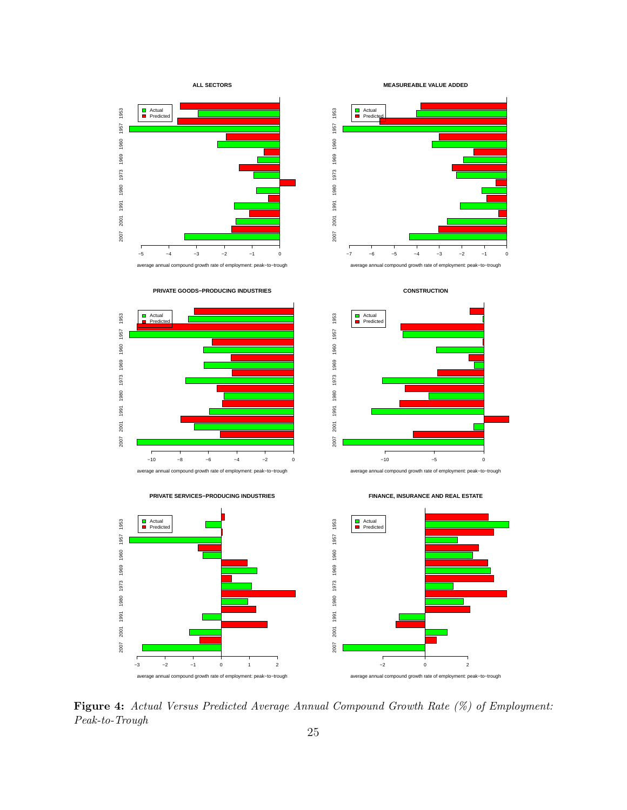

Figure 4: Actual Versus Predicted Average Annual Compound Growth Rate (%) of Employment: Peak-to-Trough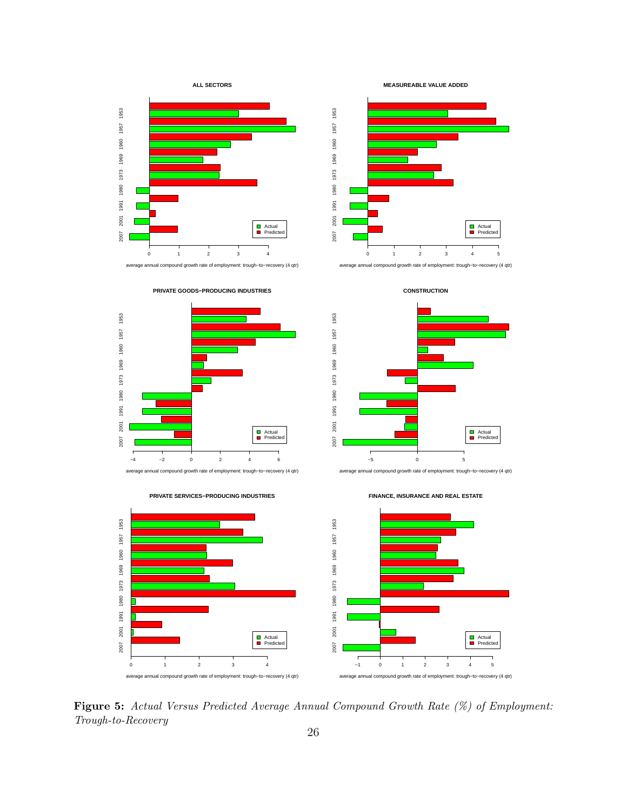



**PRIVATE GOODS−PRODUCING INDUSTRIES**











average annual compound growth rate of employment: trough−to−recovery (4 qtr)







**FINANCE, INSURANCE AND REAL ESTATE**

Figure 5: Actual Versus Predicted Average Annual Compound Growth Rate (%) of Employment: Trough-to-Recovery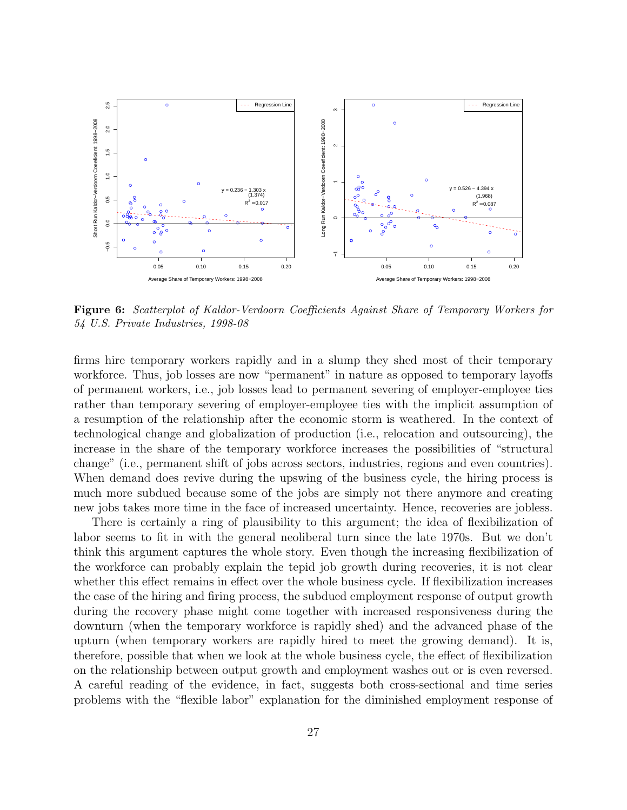

Figure 6: Scatterplot of Kaldor-Verdoorn Coefficients Against Share of Temporary Workers for 54 U.S. Private Industries, 1998-08

firms hire temporary workers rapidly and in a slump they shed most of their temporary workforce. Thus, job losses are now "permanent" in nature as opposed to temporary layoffs of permanent workers, i.e., job losses lead to permanent severing of employer-employee ties rather than temporary severing of employer-employee ties with the implicit assumption of a resumption of the relationship after the economic storm is weathered. In the context of technological change and globalization of production (i.e., relocation and outsourcing), the increase in the share of the temporary workforce increases the possibilities of "structural change" (i.e., permanent shift of jobs across sectors, industries, regions and even countries). When demand does revive during the upswing of the business cycle, the hiring process is much more subdued because some of the jobs are simply not there anymore and creating new jobs takes more time in the face of increased uncertainty. Hence, recoveries are jobless.

There is certainly a ring of plausibility to this argument; the idea of flexibilization of labor seems to fit in with the general neoliberal turn since the late 1970s. But we don't think this argument captures the whole story. Even though the increasing flexibilization of the workforce can probably explain the tepid job growth during recoveries, it is not clear whether this effect remains in effect over the whole business cycle. If flexibilization increases the ease of the hiring and firing process, the subdued employment response of output growth during the recovery phase might come together with increased responsiveness during the downturn (when the temporary workforce is rapidly shed) and the advanced phase of the upturn (when temporary workers are rapidly hired to meet the growing demand). It is, therefore, possible that when we look at the whole business cycle, the effect of flexibilization on the relationship between output growth and employment washes out or is even reversed. A careful reading of the evidence, in fact, suggests both cross-sectional and time series problems with the "flexible labor" explanation for the diminished employment response of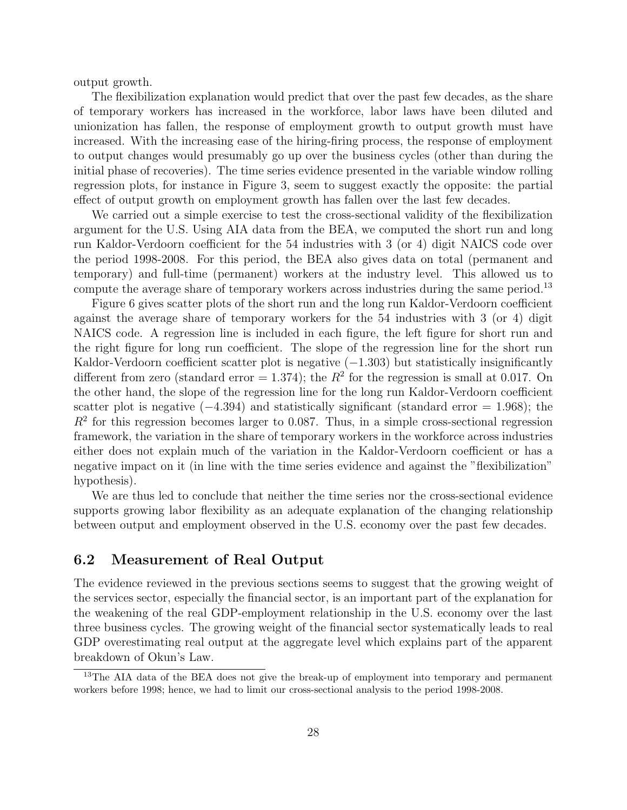output growth.

The flexibilization explanation would predict that over the past few decades, as the share of temporary workers has increased in the workforce, labor laws have been diluted and unionization has fallen, the response of employment growth to output growth must have increased. With the increasing ease of the hiring-firing process, the response of employment to output changes would presumably go up over the business cycles (other than during the initial phase of recoveries). The time series evidence presented in the variable window rolling regression plots, for instance in Figure 3, seem to suggest exactly the opposite: the partial effect of output growth on employment growth has fallen over the last few decades.

We carried out a simple exercise to test the cross-sectional validity of the flexibilization argument for the U.S. Using AIA data from the BEA, we computed the short run and long run Kaldor-Verdoorn coefficient for the 54 industries with 3 (or 4) digit NAICS code over the period 1998-2008. For this period, the BEA also gives data on total (permanent and temporary) and full-time (permanent) workers at the industry level. This allowed us to compute the average share of temporary workers across industries during the same period.<sup>13</sup>

Figure 6 gives scatter plots of the short run and the long run Kaldor-Verdoorn coefficient against the average share of temporary workers for the 54 industries with 3 (or 4) digit NAICS code. A regression line is included in each figure, the left figure for short run and the right figure for long run coefficient. The slope of the regression line for the short run Kaldor-Verdoorn coefficient scatter plot is negative  $(-1.303)$  but statistically insignificantly different from zero (standard error  $= 1.374$ ); the  $R<sup>2</sup>$  for the regression is small at 0.017. On the other hand, the slope of the regression line for the long run Kaldor-Verdoorn coefficient scatter plot is negative  $(-4.394)$  and statistically significant (standard error = 1.968); the  $R<sup>2</sup>$  for this regression becomes larger to 0.087. Thus, in a simple cross-sectional regression framework, the variation in the share of temporary workers in the workforce across industries either does not explain much of the variation in the Kaldor-Verdoorn coefficient or has a negative impact on it (in line with the time series evidence and against the "flexibilization" hypothesis).

We are thus led to conclude that neither the time series nor the cross-sectional evidence supports growing labor flexibility as an adequate explanation of the changing relationship between output and employment observed in the U.S. economy over the past few decades.

#### 6.2 Measurement of Real Output

The evidence reviewed in the previous sections seems to suggest that the growing weight of the services sector, especially the financial sector, is an important part of the explanation for the weakening of the real GDP-employment relationship in the U.S. economy over the last three business cycles. The growing weight of the financial sector systematically leads to real GDP overestimating real output at the aggregate level which explains part of the apparent breakdown of Okun's Law.

<sup>&</sup>lt;sup>13</sup>The AIA data of the BEA does not give the break-up of employment into temporary and permanent workers before 1998; hence, we had to limit our cross-sectional analysis to the period 1998-2008.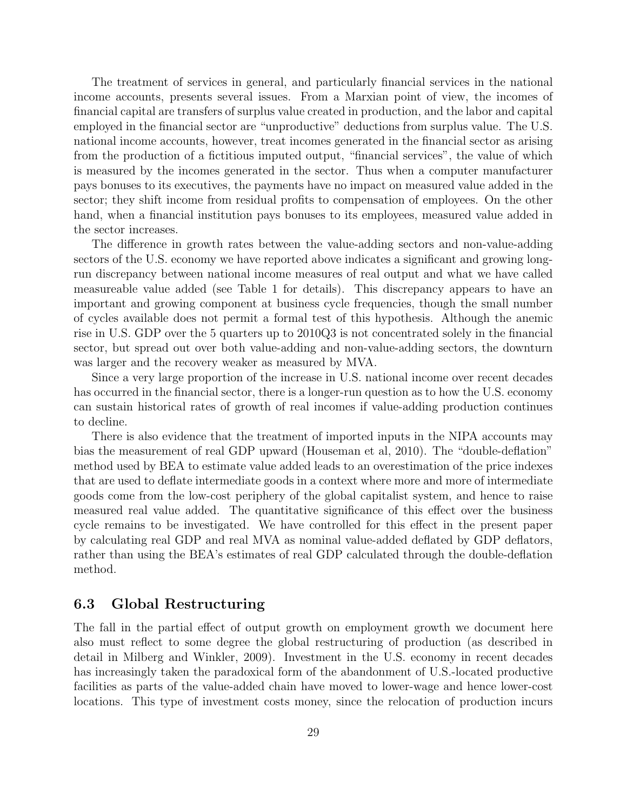The treatment of services in general, and particularly financial services in the national income accounts, presents several issues. From a Marxian point of view, the incomes of financial capital are transfers of surplus value created in production, and the labor and capital employed in the financial sector are "unproductive" deductions from surplus value. The U.S. national income accounts, however, treat incomes generated in the financial sector as arising from the production of a fictitious imputed output, "financial services", the value of which is measured by the incomes generated in the sector. Thus when a computer manufacturer pays bonuses to its executives, the payments have no impact on measured value added in the sector; they shift income from residual profits to compensation of employees. On the other hand, when a financial institution pays bonuses to its employees, measured value added in the sector increases.

The difference in growth rates between the value-adding sectors and non-value-adding sectors of the U.S. economy we have reported above indicates a significant and growing longrun discrepancy between national income measures of real output and what we have called measureable value added (see Table 1 for details). This discrepancy appears to have an important and growing component at business cycle frequencies, though the small number of cycles available does not permit a formal test of this hypothesis. Although the anemic rise in U.S. GDP over the 5 quarters up to 2010Q3 is not concentrated solely in the financial sector, but spread out over both value-adding and non-value-adding sectors, the downturn was larger and the recovery weaker as measured by MVA.

Since a very large proportion of the increase in U.S. national income over recent decades has occurred in the financial sector, there is a longer-run question as to how the U.S. economy can sustain historical rates of growth of real incomes if value-adding production continues to decline.

There is also evidence that the treatment of imported inputs in the NIPA accounts may bias the measurement of real GDP upward (Houseman et al, 2010). The "double-deflation" method used by BEA to estimate value added leads to an overestimation of the price indexes that are used to deflate intermediate goods in a context where more and more of intermediate goods come from the low-cost periphery of the global capitalist system, and hence to raise measured real value added. The quantitative significance of this effect over the business cycle remains to be investigated. We have controlled for this effect in the present paper by calculating real GDP and real MVA as nominal value-added deflated by GDP deflators, rather than using the BEA's estimates of real GDP calculated through the double-deflation method.

#### 6.3 Global Restructuring

The fall in the partial effect of output growth on employment growth we document here also must reflect to some degree the global restructuring of production (as described in detail in Milberg and Winkler, 2009). Investment in the U.S. economy in recent decades has increasingly taken the paradoxical form of the abandonment of U.S.-located productive facilities as parts of the value-added chain have moved to lower-wage and hence lower-cost locations. This type of investment costs money, since the relocation of production incurs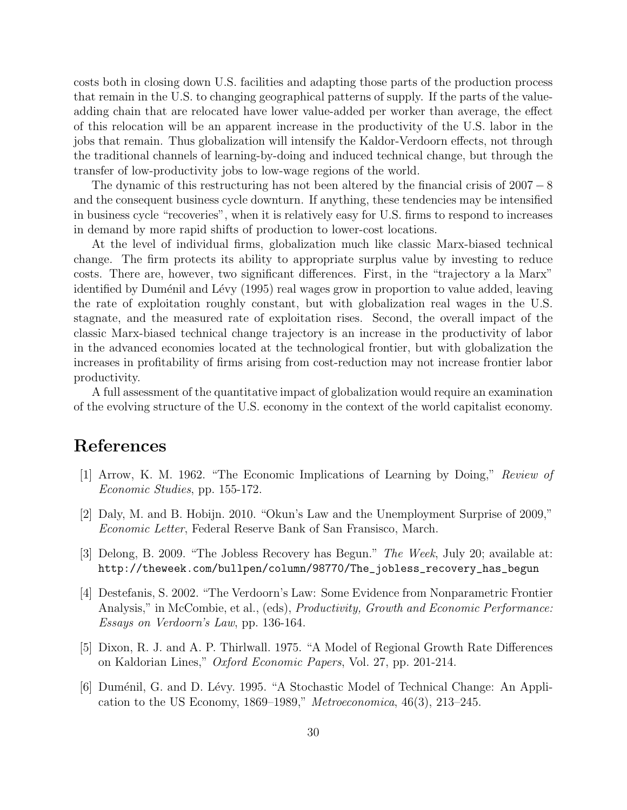costs both in closing down U.S. facilities and adapting those parts of the production process that remain in the U.S. to changing geographical patterns of supply. If the parts of the valueadding chain that are relocated have lower value-added per worker than average, the effect of this relocation will be an apparent increase in the productivity of the U.S. labor in the jobs that remain. Thus globalization will intensify the Kaldor-Verdoorn effects, not through the traditional channels of learning-by-doing and induced technical change, but through the transfer of low-productivity jobs to low-wage regions of the world.

The dynamic of this restructuring has not been altered by the financial crisis of  $2007 - 8$ and the consequent business cycle downturn. If anything, these tendencies may be intensified in business cycle "recoveries", when it is relatively easy for U.S. firms to respond to increases in demand by more rapid shifts of production to lower-cost locations.

At the level of individual firms, globalization much like classic Marx-biased technical change. The firm protects its ability to appropriate surplus value by investing to reduce costs. There are, however, two significant differences. First, in the "trajectory a la Marx" identified by Duménil and Lévy (1995) real wages grow in proportion to value added, leaving the rate of exploitation roughly constant, but with globalization real wages in the U.S. stagnate, and the measured rate of exploitation rises. Second, the overall impact of the classic Marx-biased technical change trajectory is an increase in the productivity of labor in the advanced economies located at the technological frontier, but with globalization the increases in profitability of firms arising from cost-reduction may not increase frontier labor productivity.

A full assessment of the quantitative impact of globalization would require an examination of the evolving structure of the U.S. economy in the context of the world capitalist economy.

# References

- [1] Arrow, K. M. 1962. "The Economic Implications of Learning by Doing," Review of Economic Studies, pp. 155-172.
- [2] Daly, M. and B. Hobijn. 2010. "Okun's Law and the Unemployment Surprise of 2009," Economic Letter, Federal Reserve Bank of San Fransisco, March.
- [3] Delong, B. 2009. "The Jobless Recovery has Begun." The Week, July 20; available at: http://theweek.com/bullpen/column/98770/The\_jobless\_recovery\_has\_begun
- [4] Destefanis, S. 2002. "The Verdoorn's Law: Some Evidence from Nonparametric Frontier Analysis," in McCombie, et al., (eds), *Productivity, Growth and Economic Performance*: Essays on Verdoorn's Law, pp. 136-164.
- [5] Dixon, R. J. and A. P. Thirlwall. 1975. "A Model of Regional Growth Rate Differences on Kaldorian Lines," Oxford Economic Papers, Vol. 27, pp. 201-214.
- [6] Duménil, G. and D. Lévy. 1995. "A Stochastic Model of Technical Change: An Application to the US Economy, 1869–1989," Metroeconomica, 46(3), 213–245.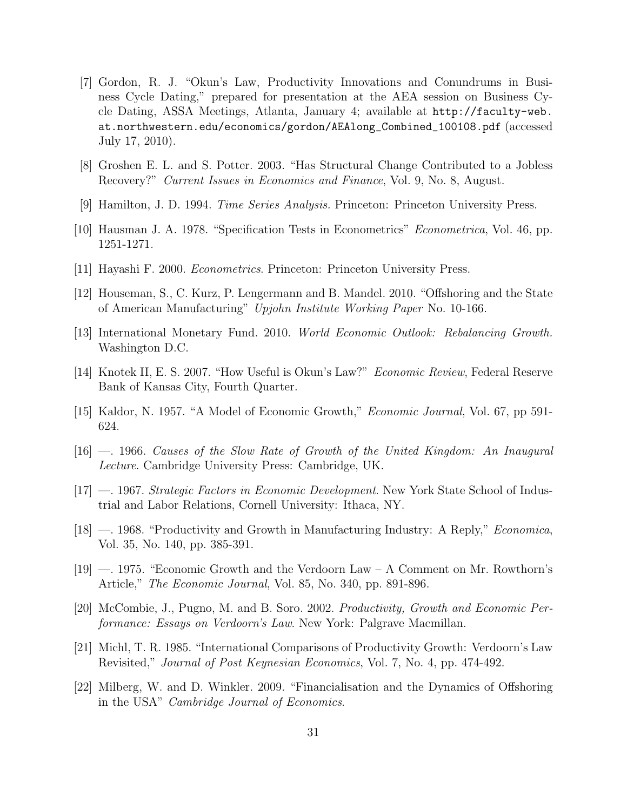- [7] Gordon, R. J. "Okun's Law, Productivity Innovations and Conundrums in Business Cycle Dating," prepared for presentation at the AEA session on Business Cycle Dating, ASSA Meetings, Atlanta, January 4; available at http://faculty-web. at.northwestern.edu/economics/gordon/AEAlong\_Combined\_100108.pdf (accessed July 17, 2010).
- [8] Groshen E. L. and S. Potter. 2003. "Has Structural Change Contributed to a Jobless Recovery?" Current Issues in Economics and Finance, Vol. 9, No. 8, August.
- [9] Hamilton, J. D. 1994. Time Series Analysis. Princeton: Princeton University Press.
- [10] Hausman J. A. 1978. "Specification Tests in Econometrics" Econometrica, Vol. 46, pp. 1251-1271.
- [11] Hayashi F. 2000. Econometrics. Princeton: Princeton University Press.
- [12] Houseman, S., C. Kurz, P. Lengermann and B. Mandel. 2010. "Offshoring and the State of American Manufacturing" Upjohn Institute Working Paper No. 10-166.
- [13] International Monetary Fund. 2010. World Economic Outlook: Rebalancing Growth. Washington D.C.
- [14] Knotek II, E. S. 2007. "How Useful is Okun's Law?" Economic Review, Federal Reserve Bank of Kansas City, Fourth Quarter.
- [15] Kaldor, N. 1957. "A Model of Economic Growth," Economic Journal, Vol. 67, pp 591- 624.
- [16] —. 1966. Causes of the Slow Rate of Growth of the United Kingdom: An Inaugural Lecture. Cambridge University Press: Cambridge, UK.
- [17] —. 1967. Strategic Factors in Economic Development. New York State School of Industrial and Labor Relations, Cornell University: Ithaca, NY.
- [18] 1968. "Productivity and Growth in Manufacturing Industry: A Reply," *Economica*, Vol. 35, No. 140, pp. 385-391.
- [19] —. 1975. "Economic Growth and the Verdoorn Law A Comment on Mr. Rowthorn's Article," The Economic Journal, Vol. 85, No. 340, pp. 891-896.
- [20] McCombie, J., Pugno, M. and B. Soro. 2002. Productivity, Growth and Economic Performance: Essays on Verdoorn's Law. New York: Palgrave Macmillan.
- [21] Michl, T. R. 1985. "International Comparisons of Productivity Growth: Verdoorn's Law Revisited," Journal of Post Keynesian Economics, Vol. 7, No. 4, pp. 474-492.
- [22] Milberg, W. and D. Winkler. 2009. "Financialisation and the Dynamics of Offshoring in the USA" Cambridge Journal of Economics.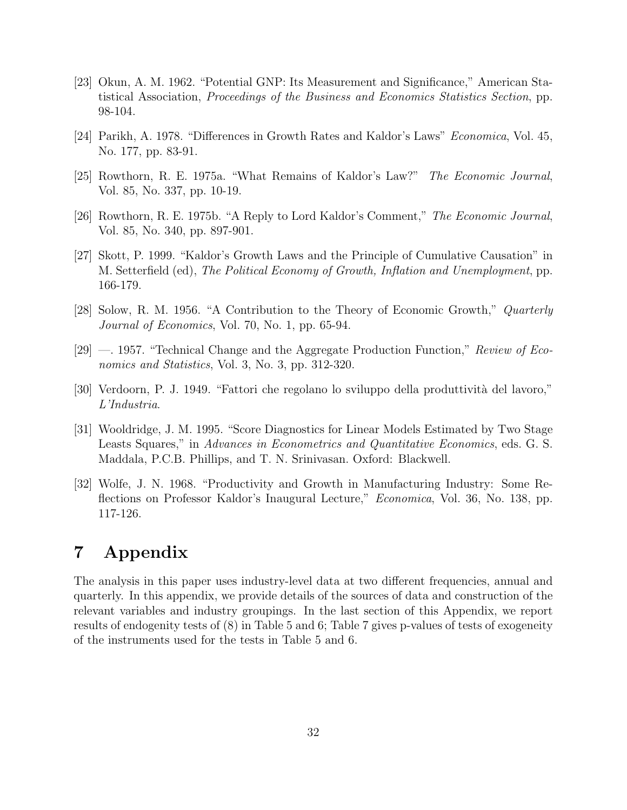- [23] Okun, A. M. 1962. "Potential GNP: Its Measurement and Significance," American Statistical Association, Proceedings of the Business and Economics Statistics Section, pp. 98-104.
- [24] Parikh, A. 1978. "Differences in Growth Rates and Kaldor's Laws" Economica, Vol. 45, No. 177, pp. 83-91.
- [25] Rowthorn, R. E. 1975a. "What Remains of Kaldor's Law?" The Economic Journal, Vol. 85, No. 337, pp. 10-19.
- [26] Rowthorn, R. E. 1975b. "A Reply to Lord Kaldor's Comment," The Economic Journal, Vol. 85, No. 340, pp. 897-901.
- [27] Skott, P. 1999. "Kaldor's Growth Laws and the Principle of Cumulative Causation" in M. Setterfield (ed), The Political Economy of Growth, Inflation and Unemployment, pp. 166-179.
- [28] Solow, R. M. 1956. "A Contribution to the Theory of Economic Growth," Quarterly Journal of Economics, Vol. 70, No. 1, pp. 65-94.
- [29] —. 1957. "Technical Change and the Aggregate Production Function," Review of Economics and Statistics, Vol. 3, No. 3, pp. 312-320.
- [30] Verdoorn, P. J. 1949. "Fattori che regolano lo sviluppo della produttività del lavoro," L'Industria.
- [31] Wooldridge, J. M. 1995. "Score Diagnostics for Linear Models Estimated by Two Stage Leasts Squares," in Advances in Econometrics and Quantitative Economics, eds. G. S. Maddala, P.C.B. Phillips, and T. N. Srinivasan. Oxford: Blackwell.
- [32] Wolfe, J. N. 1968. "Productivity and Growth in Manufacturing Industry: Some Reflections on Professor Kaldor's Inaugural Lecture," Economica, Vol. 36, No. 138, pp. 117-126.

# 7 Appendix

The analysis in this paper uses industry-level data at two different frequencies, annual and quarterly. In this appendix, we provide details of the sources of data and construction of the relevant variables and industry groupings. In the last section of this Appendix, we report results of endogenity tests of (8) in Table 5 and 6; Table 7 gives p-values of tests of exogeneity of the instruments used for the tests in Table 5 and 6.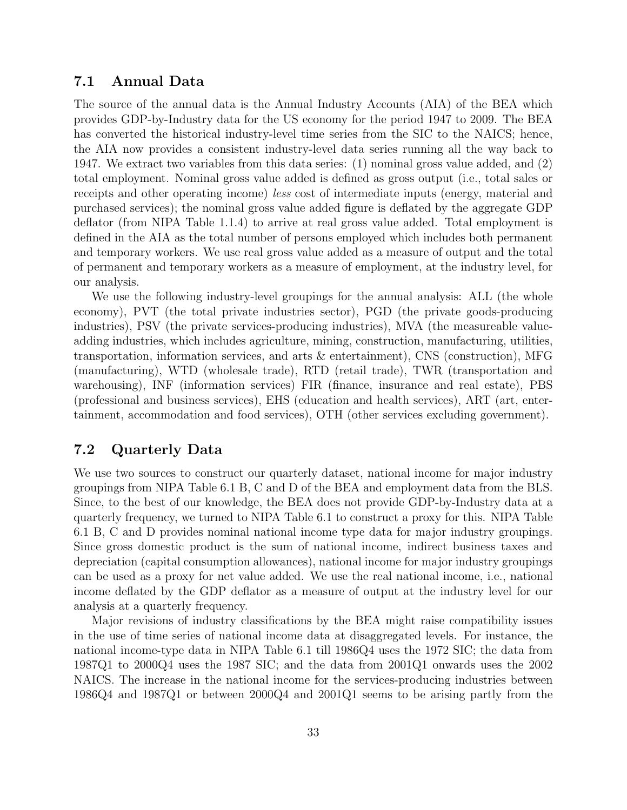#### 7.1 Annual Data

The source of the annual data is the Annual Industry Accounts (AIA) of the BEA which provides GDP-by-Industry data for the US economy for the period 1947 to 2009. The BEA has converted the historical industry-level time series from the SIC to the NAICS; hence, the AIA now provides a consistent industry-level data series running all the way back to 1947. We extract two variables from this data series: (1) nominal gross value added, and (2) total employment. Nominal gross value added is defined as gross output (i.e., total sales or receipts and other operating income) less cost of intermediate inputs (energy, material and purchased services); the nominal gross value added figure is deflated by the aggregate GDP deflator (from NIPA Table 1.1.4) to arrive at real gross value added. Total employment is defined in the AIA as the total number of persons employed which includes both permanent and temporary workers. We use real gross value added as a measure of output and the total of permanent and temporary workers as a measure of employment, at the industry level, for our analysis.

We use the following industry-level groupings for the annual analysis: ALL (the whole economy), PVT (the total private industries sector), PGD (the private goods-producing industries), PSV (the private services-producing industries), MVA (the measureable valueadding industries, which includes agriculture, mining, construction, manufacturing, utilities, transportation, information services, and arts & entertainment), CNS (construction), MFG (manufacturing), WTD (wholesale trade), RTD (retail trade), TWR (transportation and warehousing), INF (information services) FIR (finance, insurance and real estate), PBS (professional and business services), EHS (education and health services), ART (art, entertainment, accommodation and food services), OTH (other services excluding government).

#### 7.2 Quarterly Data

We use two sources to construct our quarterly dataset, national income for major industry groupings from NIPA Table 6.1 B, C and D of the BEA and employment data from the BLS. Since, to the best of our knowledge, the BEA does not provide GDP-by-Industry data at a quarterly frequency, we turned to NIPA Table 6.1 to construct a proxy for this. NIPA Table 6.1 B, C and D provides nominal national income type data for major industry groupings. Since gross domestic product is the sum of national income, indirect business taxes and depreciation (capital consumption allowances), national income for major industry groupings can be used as a proxy for net value added. We use the real national income, i.e., national income deflated by the GDP deflator as a measure of output at the industry level for our analysis at a quarterly frequency.

Major revisions of industry classifications by the BEA might raise compatibility issues in the use of time series of national income data at disaggregated levels. For instance, the national income-type data in NIPA Table 6.1 till 1986Q4 uses the 1972 SIC; the data from 1987Q1 to 2000Q4 uses the 1987 SIC; and the data from 2001Q1 onwards uses the 2002 NAICS. The increase in the national income for the services-producing industries between 1986Q4 and 1987Q1 or between 2000Q4 and 2001Q1 seems to be arising partly from the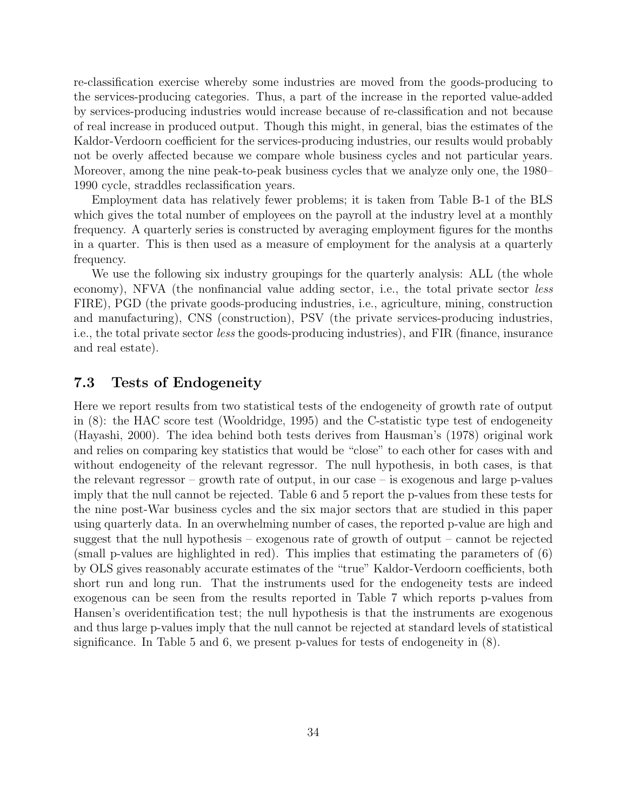re-classification exercise whereby some industries are moved from the goods-producing to the services-producing categories. Thus, a part of the increase in the reported value-added by services-producing industries would increase because of re-classification and not because of real increase in produced output. Though this might, in general, bias the estimates of the Kaldor-Verdoorn coefficient for the services-producing industries, our results would probably not be overly affected because we compare whole business cycles and not particular years. Moreover, among the nine peak-to-peak business cycles that we analyze only one, the 1980– 1990 cycle, straddles reclassification years.

Employment data has relatively fewer problems; it is taken from Table B-1 of the BLS which gives the total number of employees on the payroll at the industry level at a monthly frequency. A quarterly series is constructed by averaging employment figures for the months in a quarter. This is then used as a measure of employment for the analysis at a quarterly frequency.

We use the following six industry groupings for the quarterly analysis: ALL (the whole economy), NFVA (the nonfinancial value adding sector, i.e., the total private sector *less* FIRE), PGD (the private goods-producing industries, i.e., agriculture, mining, construction and manufacturing), CNS (construction), PSV (the private services-producing industries, i.e., the total private sector less the goods-producing industries), and FIR (finance, insurance and real estate).

#### 7.3 Tests of Endogeneity

Here we report results from two statistical tests of the endogeneity of growth rate of output in (8): the HAC score test (Wooldridge, 1995) and the C-statistic type test of endogeneity (Hayashi, 2000). The idea behind both tests derives from Hausman's (1978) original work and relies on comparing key statistics that would be "close" to each other for cases with and without endogeneity of the relevant regressor. The null hypothesis, in both cases, is that the relevant regressor – growth rate of output, in our case – is exogenous and large p-values imply that the null cannot be rejected. Table 6 and 5 report the p-values from these tests for the nine post-War business cycles and the six major sectors that are studied in this paper using quarterly data. In an overwhelming number of cases, the reported p-value are high and suggest that the null hypothesis – exogenous rate of growth of output – cannot be rejected (small p-values are highlighted in red). This implies that estimating the parameters of (6) by OLS gives reasonably accurate estimates of the "true" Kaldor-Verdoorn coefficients, both short run and long run. That the instruments used for the endogeneity tests are indeed exogenous can be seen from the results reported in Table 7 which reports p-values from Hansen's overidentification test; the null hypothesis is that the instruments are exogenous and thus large p-values imply that the null cannot be rejected at standard levels of statistical significance. In Table 5 and 6, we present p-values for tests of endogeneity in (8).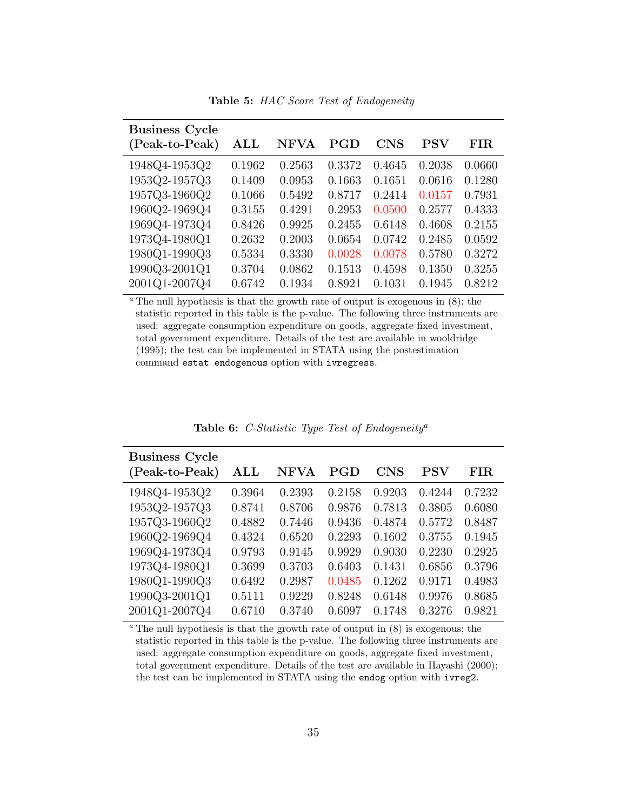Table 5: HAC Score Test of Endogeneity

| <b>Business Cycle</b> |                |        |        |        |        |        |
|-----------------------|----------------|--------|--------|--------|--------|--------|
| (Peak-to-Peak)        | $\mathbf{ALL}$ | NFVA   | PGD    | CNS    | PSV    | FIR    |
| 1948Q4-1953Q2         | 0.1962         | 0.2563 | 0.3372 | 0.4645 | 0.2038 | 0.0660 |
| 1953Q2-1957Q3         | 0.1409         | 0.0953 | 0.1663 | 0.1651 | 0.0616 | 0.1280 |
| 1957Q3-1960Q2         | 0.1066         | 0.5492 | 0.8717 | 0.2414 | 0.0157 | 0.7931 |
| 1960Q2-1969Q4         | 0.3155         | 0.4291 | 0.2953 | 0.0500 | 0.2577 | 0.4333 |
| 1969Q4-1973Q4         | 0.8426         | 0.9925 | 0.2455 | 0.6148 | 0.4608 | 0.2155 |
| 1973Q4-1980Q1         | 0.2632         | 0.2003 | 0.0654 | 0.0742 | 0.2485 | 0.0592 |
| 1980Q1-1990Q3         | 0.5334         | 0.3330 | 0.0028 | 0.0078 | 0.5780 | 0.3272 |
| 1990Q3-2001Q1         | 0.3704         | 0.0862 | 0.1513 | 0.4598 | 0.1350 | 0.3255 |
| 2001Q1-2007Q4         | 0.6742         | 0.1934 | 0.8921 | 0.1031 | 0.1945 | 0.8212 |

 $\alpha$ <sup>n</sup> The null hypothesis is that the growth rate of output is exogenous in (8); the statistic reported in this table is the p-value. The following three instruments are used: aggregate consumption expenditure on goods, aggregate fixed investment, total government expenditure. Details of the test are available in wooldridge (1995); the test can be implemented in STATA using the postestimation command estat endogenous option with ivregress.

| <b>Business Cycle</b> |                |        |        |            |                      |             |
|-----------------------|----------------|--------|--------|------------|----------------------|-------------|
| (Peak-to-Peak)        | $\mathbf{ALL}$ | NFVA   | PGD    | <b>CNS</b> | $\operatorname{PSV}$ | ${\rm FIR}$ |
| 1948Q4-1953Q2         | 0.3964         | 0.2393 | 0.2158 | 0.9203     | 0.4244               | 0.7232      |
| 1953Q2-1957Q3         | 0.8741         | 0.8706 | 0.9876 | 0.7813     | 0.3805               | 0.6080      |
| 1957Q3-1960Q2         | 0.4882         | 0.7446 | 0.9436 | 0.4874     | 0.5772               | 0.8487      |
| 1960Q2-1969Q4         | 0.4324         | 0.6520 | 0.2293 | 0.1602     | 0.3755               | 0.1945      |
| 1969Q4-1973Q4         | 0.9793         | 0.9145 | 0.9929 | 0.9030     | 0.2230               | 0.2925      |
| 1973Q4-1980Q1         | 0.3699         | 0.3703 | 0.6403 | 0.1431     | 0.6856               | 0.3796      |
| 1980Q1-1990Q3         | 0.6492         | 0.2987 | 0.0485 | 0.1262     | 0.9171               | 0.4983      |
| 1990Q3-2001Q1         | 0.5111         | 0.9229 | 0.8248 | 0.6148     | 0.9976               | 0.8685      |
| 2001Q1-2007Q4         | 0.6710         | 0.3740 | 0.6097 | 0.1748     | 0.3276               | 0.9821      |

Table 6: C-Statistic Type Test of Endogeneity<sup>a</sup>

 $a$ <sup>n</sup> The null hypothesis is that the growth rate of output in  $(8)$  is exogenous; the statistic reported in this table is the p-value. The following three instruments are used: aggregate consumption expenditure on goods, aggregate fixed investment, total government expenditure. Details of the test are available in Hayashi (2000); the test can be implemented in STATA using the endog option with ivreg2.